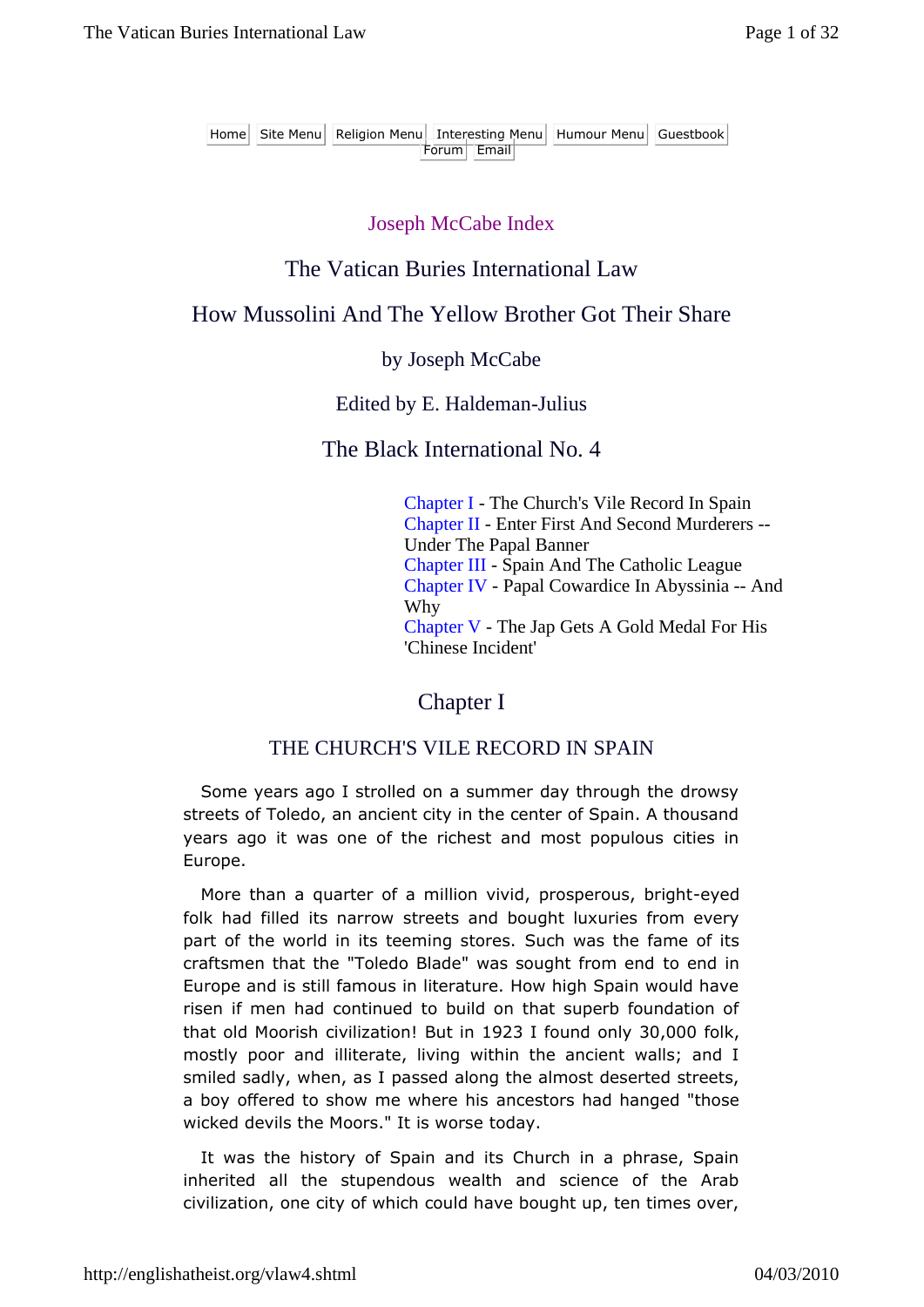Home Site Menu Religion Menu Interesting Menu Humour Menu Guestbook Forum Email

#### Joseph McCabe Index

## The Vatican Buries International Law

# How Mussolini And The Yellow Brother Got Their Share

#### by Joseph McCabe

#### Edited by E. Haldeman-Julius

#### The Black International No. 4

Chapter I - The Church's Vile Record In Spain Chapter II - Enter First And Second Murderers -- Under The Papal Banner Chapter III - Spain And The Catholic League Chapter IV - Papal Cowardice In Abyssinia -- And Why Chapter V - The Jap Gets A Gold Medal For His 'Chinese Incident'

Chapter I

### THE CHURCH'S VILE RECORD IN SPAIN

Some years ago I strolled on a summer day through the drowsy streets of Toledo, an ancient city in the center of Spain. A thousand years ago it was one of the richest and most populous cities in Europe.

More than a quarter of a million vivid, prosperous, bright-eyed folk had filled its narrow streets and bought luxuries from every part of the world in its teeming stores. Such was the fame of its craftsmen that the "Toledo Blade" was sought from end to end in Europe and is still famous in literature. How high Spain would have risen if men had continued to build on that superb foundation of that old Moorish civilization! But in 1923 I found only 30,000 folk, mostly poor and illiterate, living within the ancient walls; and I smiled sadly, when, as I passed along the almost deserted streets, a boy offered to show me where his ancestors had hanged "those wicked devils the Moors." It is worse today.

It was the history of Spain and its Church in a phrase, Spain inherited all the stupendous wealth and science of the Arab civilization, one city of which could have bought up, ten times over,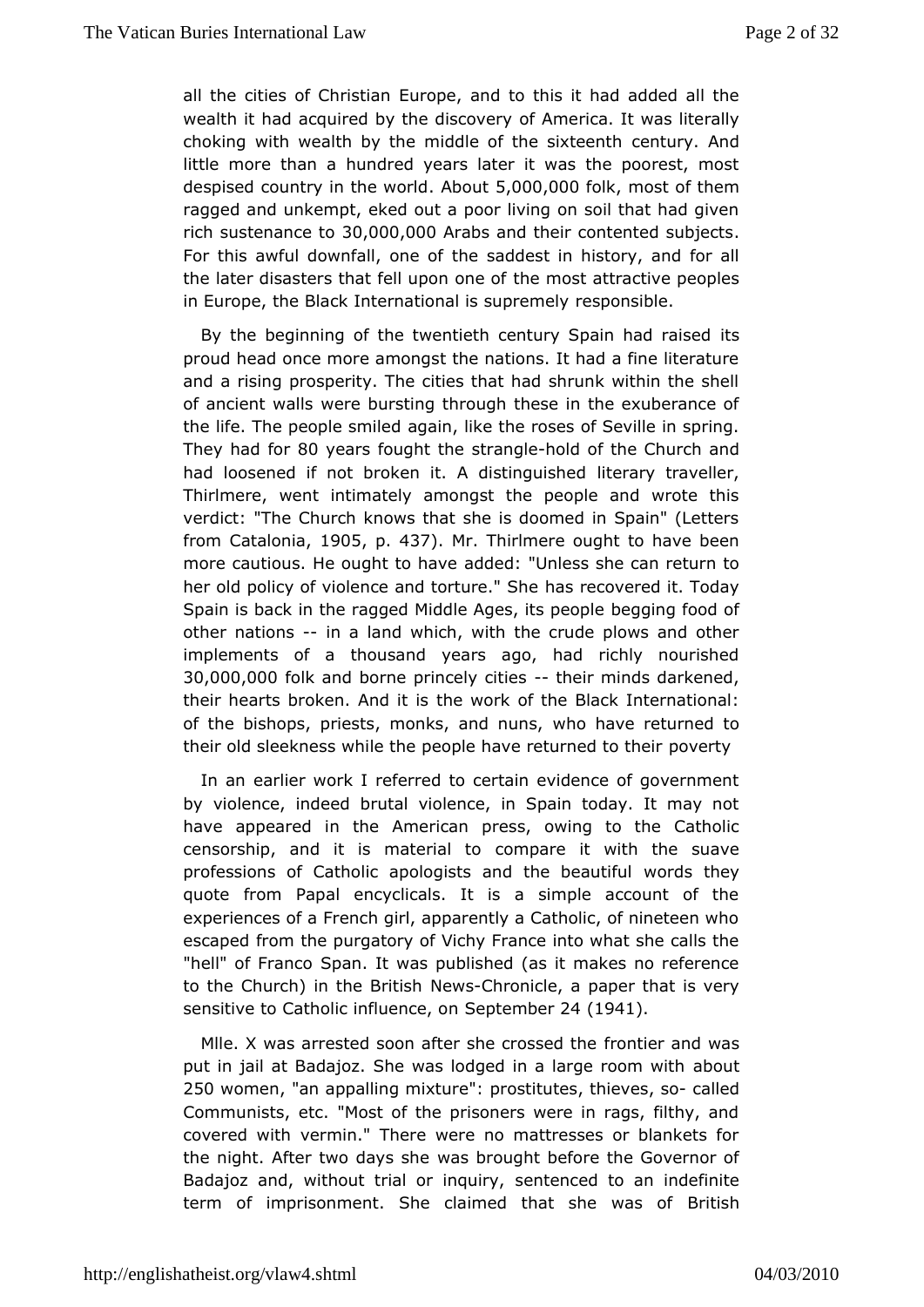all the cities of Cheruisotian and to this it had added all the wealth it had acquired by the of differme wie arry. It was literally choking with wealth by the middle of deet sixte Andh little more than a hundred years later it was the poorest. despised country in the bwash  $0.00,00$  foolk most of them ragged and kempt, eked out a poor living on soil that had give rich sustenan $\mathcal{Q}\oplus\mathcal{A}$   $\mathcal{Q}$   $\mathcal{Q}$  0.000 abs and their contented subjects For this awful downfallthenseaddest in history, and for all the later disasters that fell upommose attractive peoples in Europe, the Black International ress psoumps ebminely

By the beginning of the twentieth century Sidain had raised proud head once more amongst the nations. It had a fine liter and aising prosperity. The cities that had shrunk within the  $s$ of ancient wwad is bursting through these in the exuberance of the life. The peopleagminied ike the roses of Seville in spring. They had 80 years fought sthe angleold of the Church and had loosened if not broken it. A disertaguished lier, Thirlmere, went intimately amongst the people and wrote verdict: "The Church knows that she is doomed in Spain" (Le from Catalon  $0a, 5p. 437$ . Mr. Thirlmere ought to have been more cautious. He oughtatod shoot: "Unless she can return to her old policy of violence and thoasurec'o Sehreed it. Today Spain is back in the ragged Middle Agesgints poecooploef other nationsn a land which, with the crude plows and other implements of a thousand years ago, had richly nourish 30,000,000 lk ambotne princely cithesir minds darkened, their hearts broken. Athe work of the Black International: of the bishops, priests, monks, who dhauns returned to their old sleekness while the people have peterned to their

In an earlier work I referred to certain evidence of govern by violence, indeed brutal violence, in Spain today. It may have appeared then American press, owing to the Catholic censorship, and it is mateormaplarted it with the suave professions of Catholic apologists and woth desbt have utiful quote from Papal encyclicals. It is a simple account of experiences of a French girl, apparently a Catholic, of ninete escape dom the purgatory of Vichy France into what she calls "hell" of FraSnpcaon. It was published (as it makes no reference to the Church) in the NE wist using the a paper that is very sensitive to Catholic influenteem board (1941.

Mile. X was arrested soon after she for to the seath the was put in jail at Badajoz. She was lodged in aaboorge room with 250 wome, n"an appalling m"x pups titutes ieves o-called Communists, etc. "Most of the prisoners were in rags, filthy covered witch rmin." There were no mattresses or blankets for the night. After two dwyss short before the Governor of Badajoz and, without trial osreminiquic revol to an indefinite term of imprisonment. She claimed that Bahteishwas of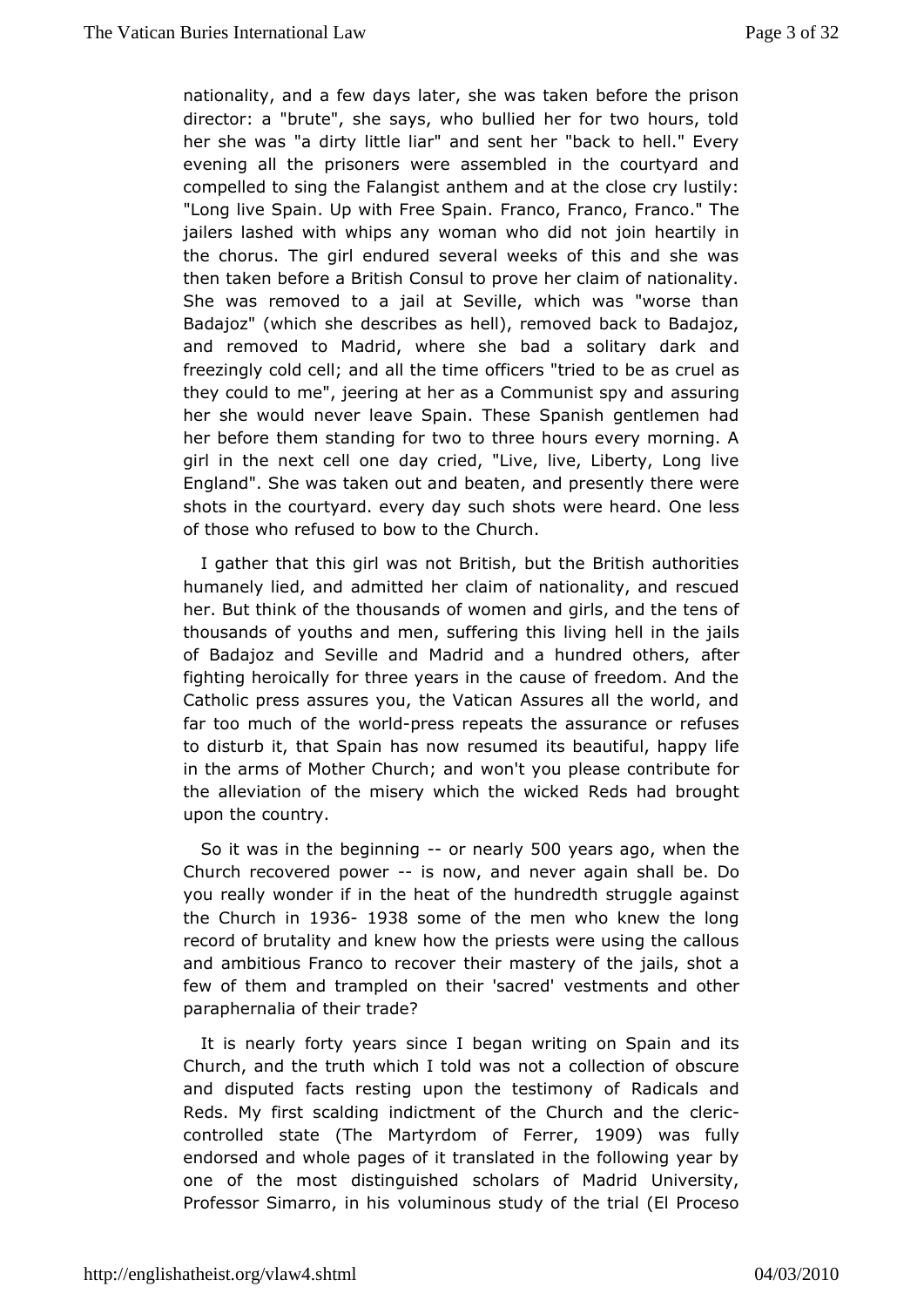nationality, and a few days later, she was taken before the prison director: a "brute", she says, who bullied her for two hours, her she w'as dirty little liar" and sent her "back to hell." Eve evening all thissoners were assembled in the courtyard and compelled to sing the Familtah regnist and at the close cry lustily: "Long live Spain. Up with FFre en Spain. Fanco." The jailers lashed with whips any womanjowho head thiloyt in the chorus. The girl endured several weeks of this and she then taken before a British Consul to prove her claim of natio She wasemoved to a jail at Seville, which was "worse tha Badajoz" (which desheeribes as hell), removed back to Badajoz, and removed to Madrid, whead ahesolitary dark and freezingly cold cell; and all the time to blecass c'ture to be as they could to me", jeering at her as a Comama suist gspy and her she would never leave Spain. These Spanish gentlemen her befotrheem standing for two to three hours every morning. girl in the next ced ay onceied, "Live, live, Liberty, Long live England". She was takenbeatean, dand presently there were shots in the courtyard. every daywesue ches ahroots One less of those who refused to bow to the Church.

I gathethat this girl was not British, but the British authorit humanely lied, admdtted her claim of nationality, and rescued her. But think of the thoofusvasmmdesn and girls, and the tens of thousands of youths and men, suffvernign on ethis in the jails of Badajoz and Seville and Madrid and a haust hedred others, fighting heroically for three years in the cause of freedom. A Catholic press assures you, the Vatican Assures all the worl far too muccfhithe woplroess repeats the assurance or refuses to disturb it, thath & pamow resumed its beautiful, happy life in the arms of Mother Chuwoch; tayrodu please contribute for the alleviation of the misery which the wadkbdought upon the country.

So it was in the begioning ars  $\mathcal{P}$  Oyears ago ohen the Church recovered power ow, and never agabe.shall you really wonder if in the heat of the hundredth struggle ac the Church 119361938 some of the men who knew the long record of brutality neawn dhow the priests were using the callous and ambitious Franco to theiro mearstery of the jails, shot a few of them and trampled on theviers tenaenriesd'and other paraphernalia of their trade?

It is nearly forty syeaes I began writing on Spain and its Church, and the truth which mottoled overall section of obscure and disputed facts resting upon the Reastiionaols yanod Reds. My first scalding indictment of the Cleurich and the controlled st(althee Martyrdom of Fet  $\theta$  Depr was fully endorsed annhole pages of it translated in the following year  $\mathsf I$ one of the mossttinguished scholars of Madrid University, Professor Simarro, von humis ous study of the trial (El Proceso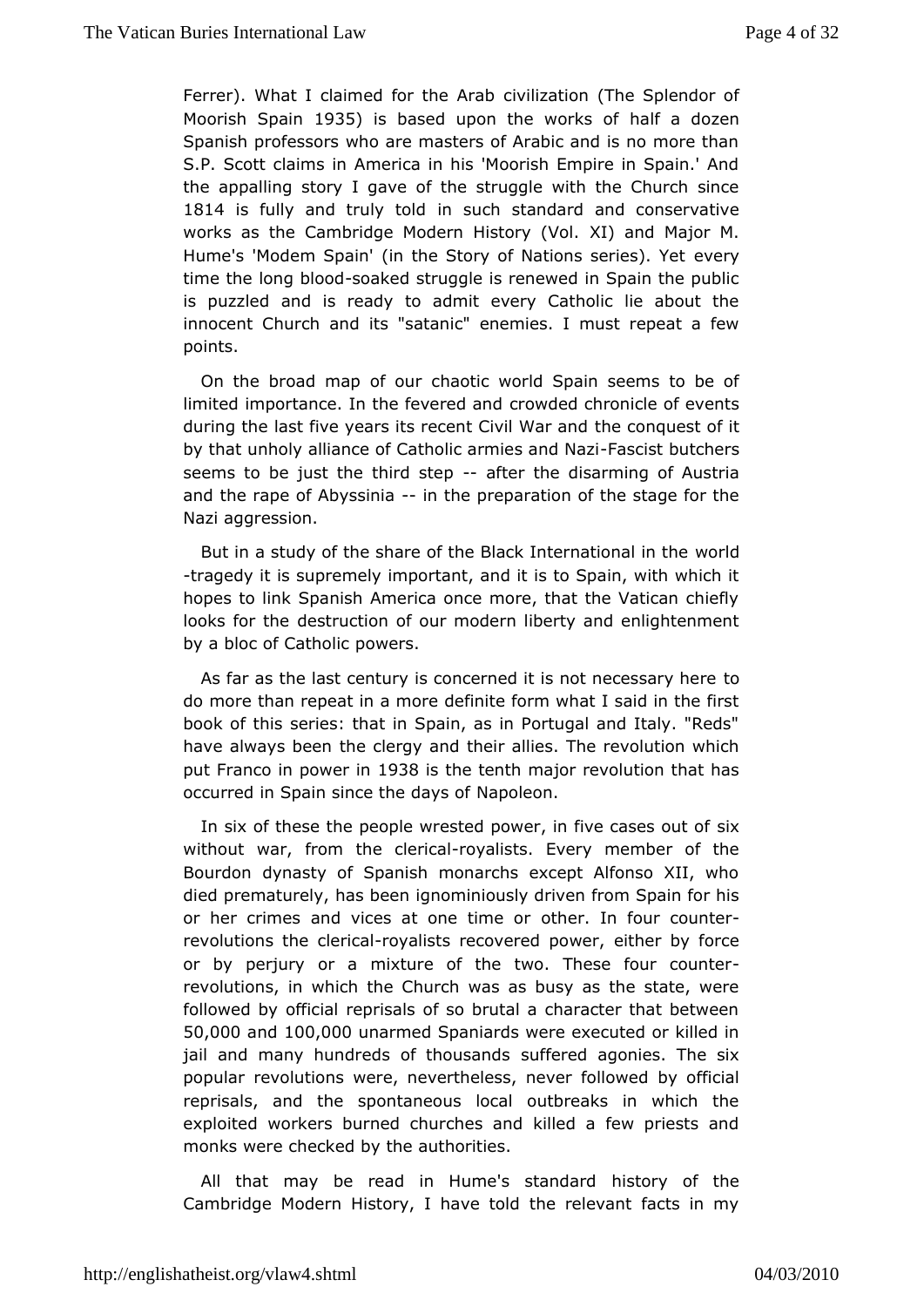Ferrer). What I claimed forcthidization (The Splendor of Moorish Spa9B 5 is based upon the works af dozen Spanish professors who are masters of Arabic and is no more S.P. Scott claims in America in his 'Moorish Empire in Spain the appallsngry I gave of the struggle with the Church since 1814 is fully and truly ntoluch standard and conservative works as the Cambridge Modern HXstoaynd (Wobajor M. Hume's 'Modem Spain' (in the Story of Nations series). Yet time the long bsloom bled struggle is renewed in Spain the public is puzzled and is ready to admit every Catholic lie about innocent Churchitan'dsatanic" enemies. I must repeat a few points.

On the broad map octhaoutric world Spain seems to be of limited importance. In the fecw conveded nothronicle of events during the last five years its recent the conduction of it by that unholy alliance of Catholic a Fraisecs baunt dh Ne as i seems to be just the third fseepthe disarming of Austria andthe rape of Abyssiimitahe preparation of the stage for the Nazaggression.

But in a study of the share of the Black Integral attional in the -tragedy it is supremely important, and it is to Spain, with wh hopeso link Spanish America once more, that the Vatican chi looks for dleestruction of our modern liberty and enlightenmen by a bloc of  $C$ anthowleics.

As far as the last century is concerned it is not necessary h do more than repeat in a more definite form what I said in the book  $dh$  is series: that in Spain, as in Portugal and Italy. "Reds" have always beenclergy and their allies. The revolution which put Franco in pow @ 8 8 isthe tenth major revolution that has occurred in Spain since the and alyeson of

In six of these the people wrested power, insitye cases out without war, from the-roolyeaticsatls. Every member of the Bourdodynasty of Spanish monarchs except Alfonso XII, wh died prematurely, has not been indusly driven from Spain for his or her crimes and vices at onoetheimelnorfour counter revolutions the clerical asts recovered epion languagement by force or by perjury or a mixture of the two. These four count revolutions, in which the Church was as busy as the state, followed  $\phi$ fylicial reprisals of so brutal a character that betwe 50,000 and100,000unarmed Spaniards were executed or killed in jail and many hundreds of tshoofuffeaned sagonies. The six popular revolutions were, nevertheless, by vertididelowed reprisals, and the spontaneous local outbreaks in which exploited workers burned churches and killed a few priests monks weckecked by the authorities.

All that may be read in Hume's hi**st the model for the standard history of the** Cambridge Modern History, I have told the relevant facts in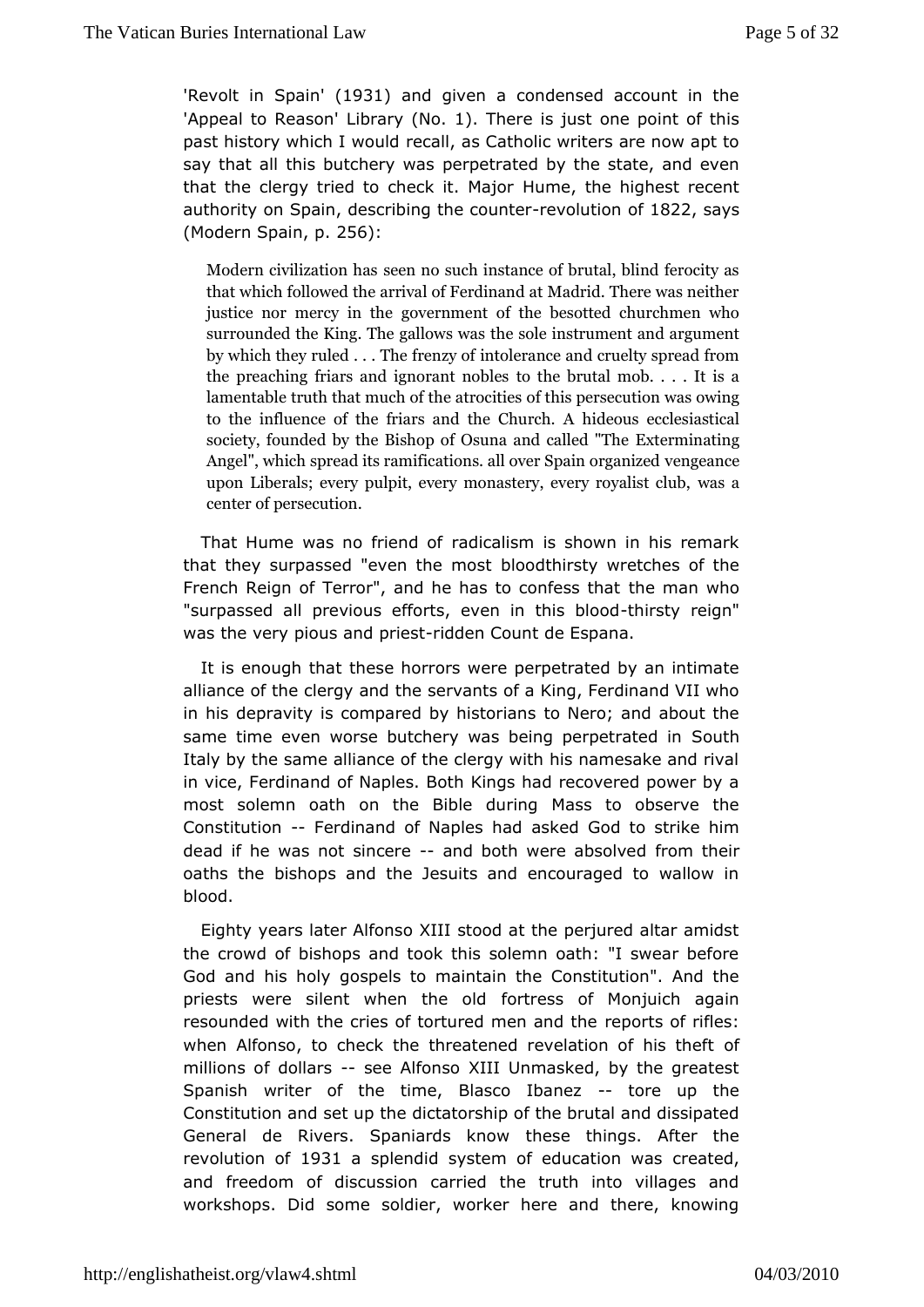'Revolt in S'p align 3 1 and given a condensed account in the 'Appeal to  $\text{Re} \Delta s$  b nd r( $\text{Na}$  1). There is just one point of this past history which rexcauld as Catholic writers are now apt to say that all this butcheer wo water ated by the state, and even that the clergy tried to check uime. Maher highest recent authority on Spain, describing-nteneo cuotuin the 822 says  $(Modern Sp$  apin 256:

Modern civilization has such instance of brutal, blind feroc that which follow reid athorf Ferdinand at Madrid. There was ne justice nor mercgownern homeent of the besotted churchmen wh surrounded the King. The heaslool we sinusal sument and argument by which they ruled . . in To be fae or eye of the cruelty spread from the preaching friars and igmother and holder in ob. . . . It is a lamentable truth that much of the sacteros etcine tsion was owing to the influence of the friars ahiddetolos Cehoucrloehs.iaAstical society, founded by the Bishop of  $O$  Euxnicarian and clanded "The Angel", which spread its ramifications. all over Sepain organ upon Liberals; every pulpit, every monastways, ævery royali center of persecution.

That Hume was no frirendd cafism is shown in his remark that they surpassed "even b hoeo oht b sitsty wretches of the French Reign of Terror", and he has to he commatens who hat "surpassed all previous efforts, eventhin sthy is rebigondd was the very pious and do reas  $c$  ount de Espana.

It is enough ttheste horrors were perpetrated by an intimate alliance of the clergy sand a hits of a King, Ferdinand VII who in his depravity is compared by ohNeet noor; aansd about the same time even worse butchery was being Spoeut phetrated in Italy by the same alliance of the clergy with his namesake and invice, Ferdinand of Naples. Both Kings had recovered power most solemn o anth the Bible during Mass to observe the Constitution Ferdinand of Napleas kheadd God to strike him dead if he was not simaned reboth were absfortowned their oaths the bishops and the Jesuits and encouraged to wallo blood.

Eighty years later Alfonso XIII stood at the perjured altar amidst the crowd of bishops and took this solemn oath: "I swear be God and his hoby pels to maintain the Constitution". And the priests were silent when ftorrecolsd of Monjuich again resounded with the cries of tortured repear tan ouf thiéles: when Alfonso, to check the threatened reveladfon of his the millions of dollars Alfonso XIII Unmasked, by the greatest Spanishwriter of the time, Blasco--Ibaneezup the Constitution and setducpt at thoership of the brutal and dissipated General de Rivers. Spaniardhees kenot whings. After the revolution 1081a splendid system of educationantemolas and freedom of discussion carried the truth into villages workshops. Did some soldier, worker here and there, know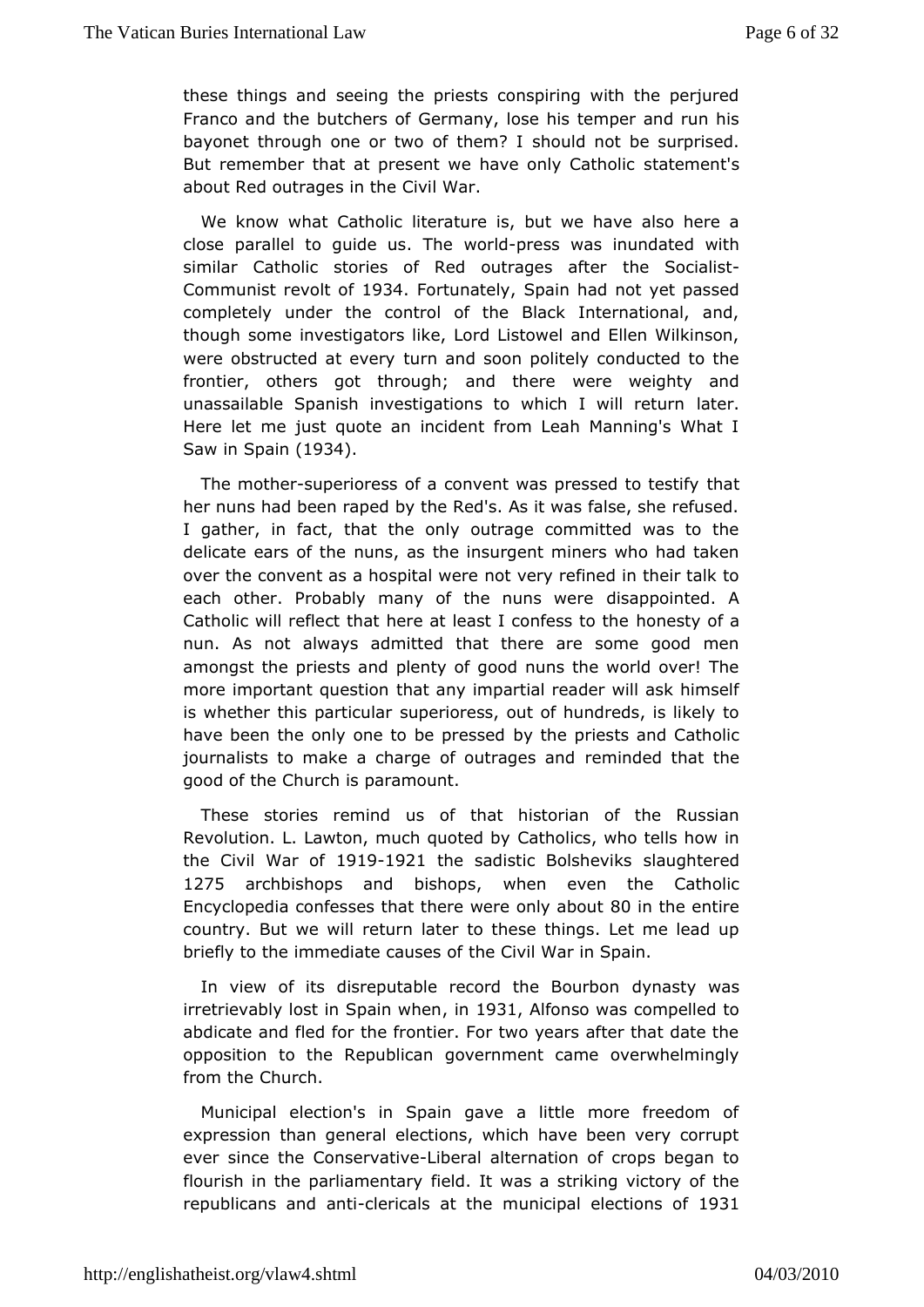these things seemeding the priests conspiring with the perjured Franco and the butc Gersmany, lose his temper and run his bayonet through one or two osshibhuel on ?not be surprised. But remember that at present we have sot altern Cearth's lic about Red outrages in the Civil War.

We know what Cathtoelriasture is, but we have also here a close parallel to guide wwosrlopTrhess was inundated with similar Catholic stories of Red outhæge Soca & tlest Communist revoll 0 304 Fortunate Spain had not yet passed completely under the control of the Black International,  $\alpha$ though sommevestigators like, Lord Listowel and Ellen Wilkinson were obstructed attewnerand soon politely conducted to the frontier, others got through; awndrethweighty and unassailable Spanish investigations to which tel. will return Here let me just quote an incident from Leah Manning's Wh  $Saw$  i $B$ pain(1934.

The mothspuperioress of a convent was presshead to testify her nuns had been raped by the Red's. As it was false, she re I gather, in fact, that the only outrage committed was to delicate ears onfumise as the insurgent miners who had taken over the convent as a hospiotal were refined in their talk to each other. Probably many of the dnsamspowinted. A Catholic will reflect that here at least homes for the the nun. As not always admitted that there are some good m amongsthe priests and plenty of good nuns the world over! T more important questaitoany impartial reader will ask himself is whether this parstuipuelra press, out of hundreds, is likely to have been the only one to bloey ptries sper dests and Catholic journalists to make a charge of oruetrmaingelsedantmolat the good of the Church is paramount.

These stories remined unsat historian of the Russian Revolution. L. Lawton, much Quatchtoeld clsy who tells how in the Civil Wan 901f91921 the sadistic Bols heavuids betered 1275 archbishops and biswhops even the Catholic Encyclopedoafesses that there were only at the utire country. But werewtulln later to these things. Let me lead up briefly to the immediate than sole is idf War in Spain.

In view of its disreputable record dhyeaBbyurwas irretrievably lost in Spann Sushige And fonso was compelled to abdicate and fled for the frontier. For two years after that da opposition the Republican government came overwhelmingly from th@hurch.

Municipal election's in Spain gave a little more freedom expression than general elections, which have been very co ever since ChesservatLyberal alternation of crops began to flourish in the parliamentarly was a striking victory of the republicans and clæmitials at mthesicipal elections 35 of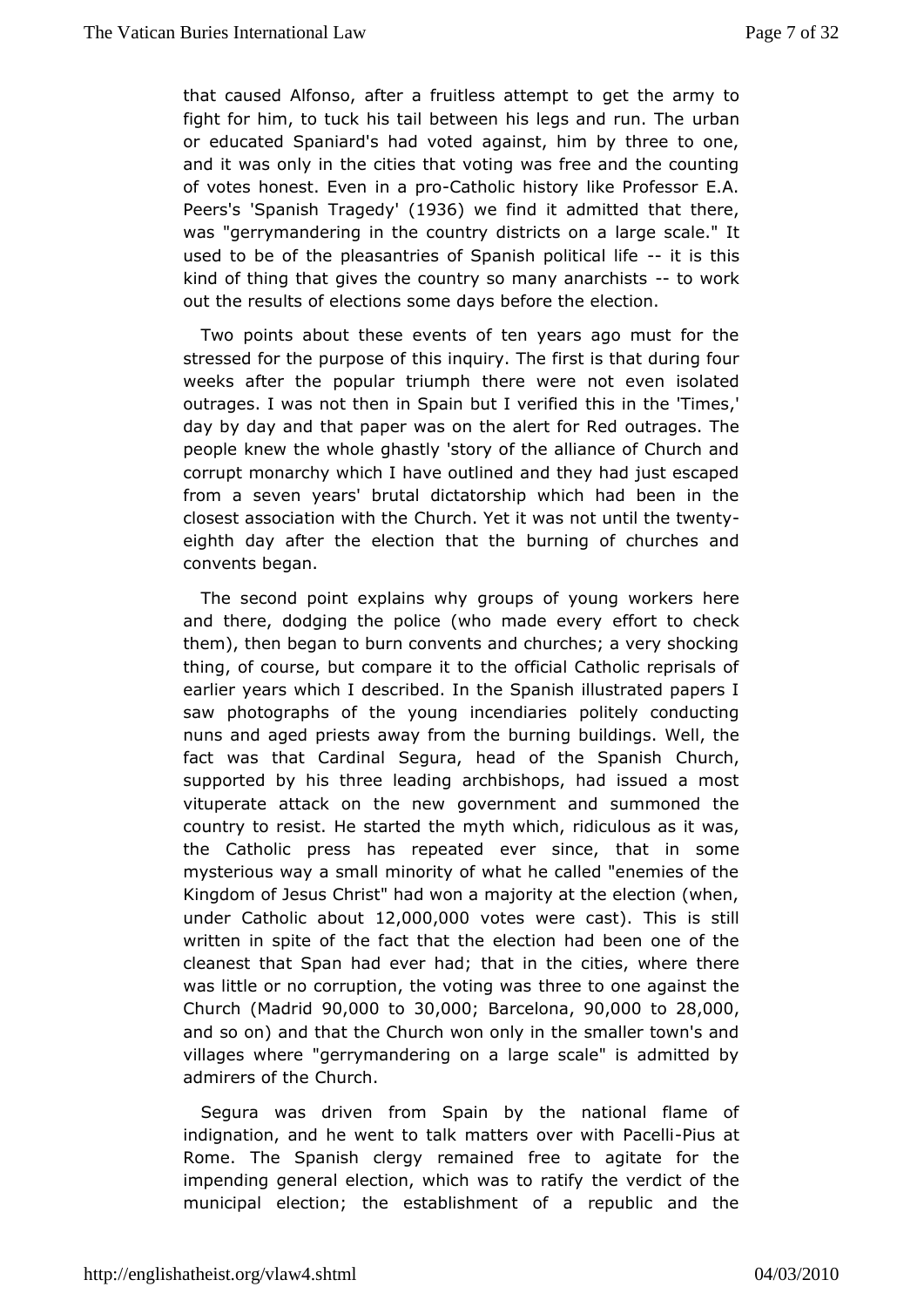that caused Alfonso, after a fruitlesset atthermantmito to fight for him, to tuck his tail between his lags aand run. The or educated Spaniard's had voted against, him by three to and it was v in the cities that voting was free and the counting of votes honest.inEværp-Coatholic history like Professor E.A. Peers 'Spanish  $T$ ragetd $\theta$ ,  $\theta$  we find it admitted that there, was "gerrymandering in the country a dlias tigiects calle." It used to be of the pleasantries of Spanisht pislitthical life kind of thing that gives the country so manoy wanak chists out the results of elections some days before the election.

Two poinabout these events of ten years ago must for the stressed for the purthose induiry. The first is that during four weeks after the popular tthreumphere not even isolated outrages. I was not then in Spain bhuits linvethine id thimes,' day by day and that paper was on the oat eage er Rheed people knew the whole ghastly 'story of the alliance of Churc corrupt monarchy which I have outlined and they had just esc from a seveenars' brutal dictatorship which had been in the closest association @htuhrothe Yet it was not until-the twenty eighth day after the election buth rain gtheef churches and convents began.

The second point explagmoups yof young workers here and there, dodging the police (who emifacorte to example ck them), then began to burn convents and churches; a very shoc thing, of course, but compare it to the official Catholic repri earlieyrears which I described. In the Spanish illustrated pape saw photographsheofyoung incendiaries politely conducting nuns and aged priests away burrom mn the buildings. Well, the fact was that Cardinal Segura, head of Chlounech Spanish supported by his three leading archbishops, had issued a vituperated tack on the new government and summoned the country to resist. He stamytehd whhech, ridiculous as it was, the Catholic press has repeated  $env$ at isningsome mysterious way a small minority of what he called "enemies c Kingdom of Jesus Christ" had won a majority at the election ( underCatholic abb20,t000,0000 tes were ) calstatis is still written in spitte eofact that the election had been one of the cleanest that Span had ewheat hiad the cities, where there was little or no corruption, the thoroesteinto powers against the  $C$  hurch(Madrid $0,000$  to  $30,00$ ;  $0B$  arcelon $90,000$  to  $28,00,0$ and so on) and that the Church won only in the smaller town': villages where "gerrymandering on a large scale" is admitte admirers of  $Q$ herch.

Segura was driven from Spain by the national flame indignation, and he went to talk matters over-Pwintsh aPtacelli Rome. The Spanish celen agined free to agitate for the impending general election, which twhaes vteordriacttify fthe municipal election; the establishment of a republic and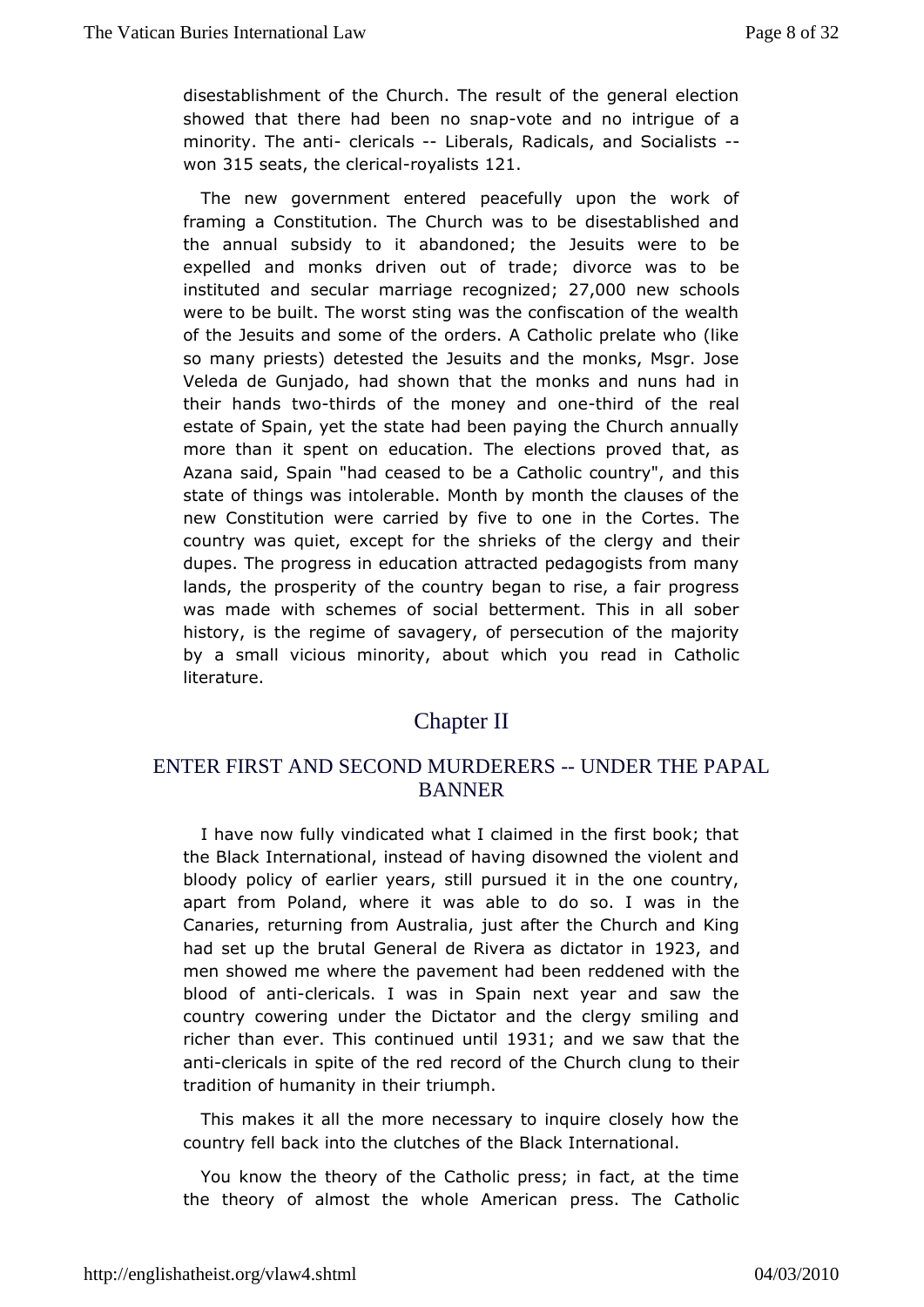disestablishment of the Church. The result of the general el showed thtahtere had been novosheapand no intrigue of a minority. The anticals -- liberals, Radicals, and Socialists won315 seats he cleric avalist 21

The new government entered peacefully upon the work framing Caonstitution. The Church was to be disestablished a the annual subsidy aboanidoned; the Jesuits were to be expelled and monks driven out  $\text{dof}$  of  $\text{cæd}$  expelled and monks driven out  $\text{dof}$ instituted and secular marriage  $2\bar{e}$  condeningual schools were to be built. The worst sting was the confiscation of the of the esuits and some of the orders. A Catholic prelate who so many priedes psted the Jesuits and the monks, Msgr. Jose Veleda de Gunjado, had shtohwen mtohmakts and nuns had in their hands-tthwiods of the money anholiron of the real estate of Spain, yet the state had been paying the Church and morethan it spent on education. The elections proved that, Azana said, Spaince ans and to be a Catholic country", and this state of things was int Miloentah blow month the clauses of the new Constitution were carried by inivident ocontes. The country was quiet, except for the shrieks of herie clergy and dupes. The progress in education attracted pedagogists from landsthe prosperity of the country began to rise, a fair progl was made with emes of social betterment. This in all sober history, is the regimeagery, of persecution of the majority by a small vicious minority hiaboyou read in Catholic literature.

### **ChapterII**

#### ENTER FIRST AND SECOND MURDERERS UNDER THE PAPAL BANNER

I have now fully vindicated what I claimed in the first book; the Black International, instead of having disowned the violer bloodpolicy of earlier years, still pursued it in the one cour apart from Polambere it was able to do so. I was in the Canaries, returning from Aussttreafitien, the Church and King had set up the brutal General delic Riavtor radioal 33 and men showed me where the pavement had beenthreddened with blood of achibericals. I was in Spain next year and saw the countryowering under the Dictator and the clergy smiling  $a \oplus b$ richer than ever.coTn'tissued un9811 and we saw that the anticlericals in spite of retoerded f the Church clung to their tradition of humanity timuth puth.

This makes it all the more necessary to inquire closely hove country fell back into the clutches of the Black International.

You knotwhe theory of the Catholic press; in fact, at the tin the theory of almoswthole American press. The Catholic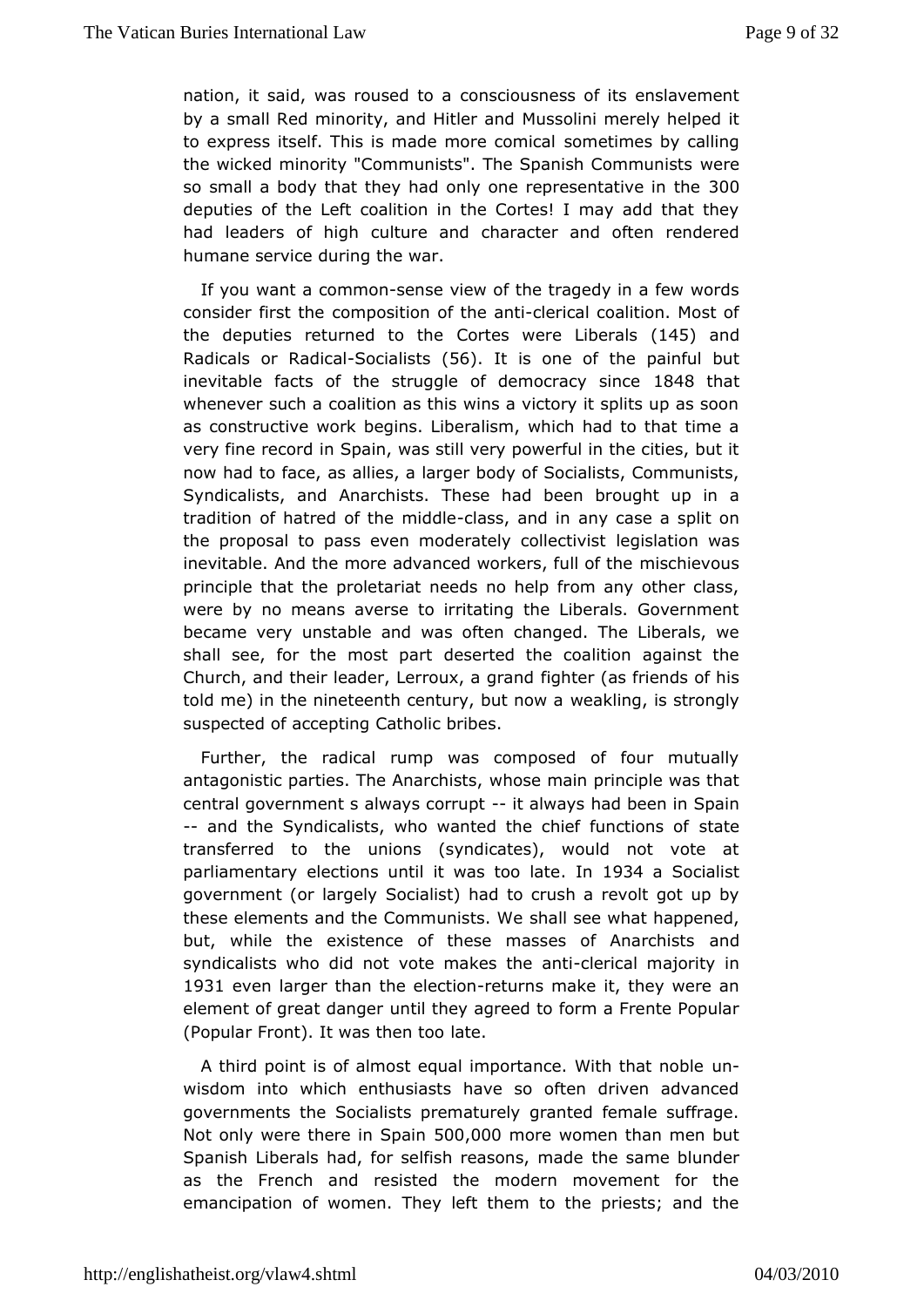nation, it said, was rouses to a sness of its enslavement by a small Red minority, and M-Luis beorlian in denely helped it to express itself. This is made msomeetion meiscably calling the wicked minority "Communists". The Spanweer eCommunists so small a body that they had only one repressentative in the deputies fthe Left coalition in the Cortes! I may add that the had leaders of chuigthure and character and often rendered humane service during the war.

If you want a comment e view of the tragedy in a few words consider first ot me osition of the learnicial coalition. Most of the deputies returned Corttense were Liber49sand Radicals or ReSobicizallis (15s6). It is one tonfe painful but inevitable facts of the struggle of dem $\theta$ 4 Bathyatsince whenever such a coalition as this wins a victory it splits up  $\varepsilon$ asconstructive work begins. Liberalism, which had to that tir very fine recrorsd pain, was still very powerful in the cities, but now had to facalliæs, a larger body of Socialists, Communists Syndicalists, and Anarbbissets had been brought up in a tradition of hatred of the elarss is dalendaring case a split on the proposal to pass even moderately gotslate contivious as inevitable. And the more advanced workmeirss.chfiwellooufs the principle that the proletariat needs no help from any other were by no means averse to irritating the Liberals. Govern became veunstable and was often changed. The Liberals,  $w_{\ell}$ shall see, for the modespared the coalition against the Church, and their leader, Lerrofughtærg (as dfriends of his told me) in the nineteenth centurw, ebut im ow is strongly suspected of accepting Catholic bribes.

Further, thædical rump was composed of four mutually antagonistic parties. The Awhax schissian principle was that central government s alwaysit carl muapt ad been in Spain -- and the Syndicalists, who wanted the chisetfatfeunctions of transferred to the unions (syndicates), would not vote parliamentædy ctions until it was tood 934 a Socialist government (or la**Ggela**list) had to crush a revolt got up by these elements and the Communistics eow ewhat happened, but, while the existence of these masses and Anarchists syndicalists who did not vote ma-kcessritched annet jiority in 1931 evenlarger than the electuions make it, they were an element of great dan tiglethey agreed to form a Frente Popular (Popular Front). It was latten too

A third point is of almost equal importance.un With that noble wisdom into which enthusiasts have so often driven advan governments *Sheeialists* prematurely granted female suffrage. Not only were there i50\$p@0@more women than men but Spanish Liberals had, for selfish rehaes osnasm, embalduender as the French and resisted the modern movement for the emancipation of women. They left them to the priests; and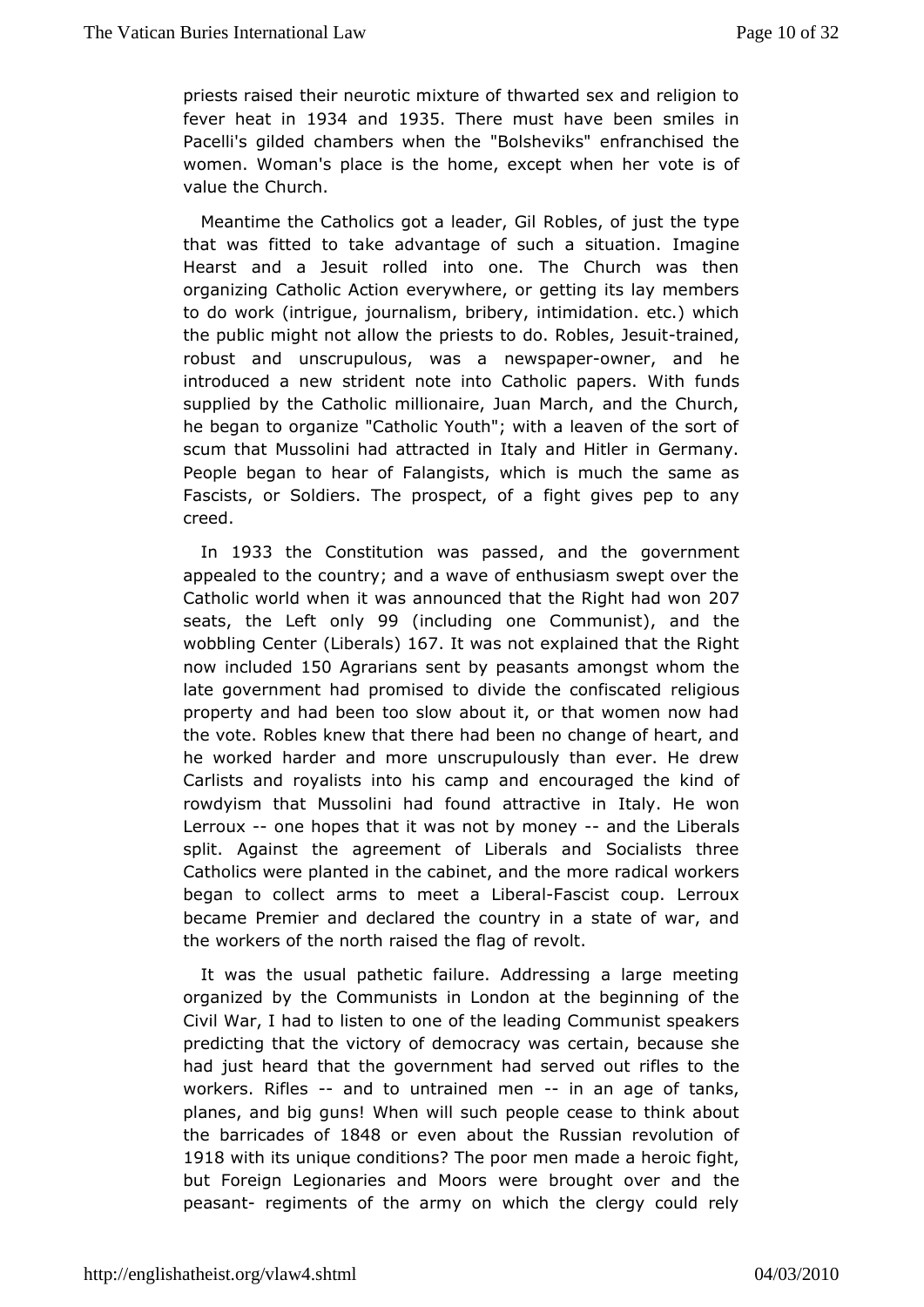priests raitsheed r neurotic mixture of thwarted sex and religion fever heat 1903 4 and 1935 There must have been smiles in Pacelli's gilded chambers "Bobeshebreks" enfranchised the women. Woman's place is the home, except te when her value the Church.

Meantime the Catholics got a Readers, of iljust the type that was fitted to take advantage of sudman aginatuation. Hearst and a Jesuit rolled into one. The Church was the organizicatholic Action everywhere, or getting its lay membe to do work (intrjigumenalism, bribery, intimidation. etc.) which the public might not ablicaribeto do. Roblestraines dit robust and unscrupulous, nwwspapewner, and he introduced a new strident note into CaWhiohicfupmadpsers. supplied by the Catholic millionaire, Juan March, and the Cl hebegan to organize "Catholic Youth"; with a leaven of the so scum that tussolini had attracted in Italy and Hitler in Germar People began to healangists, which is much the same as Fascists, or Soldiers. The profsight tgiolesapep to any creed.

In 1933 the Constitution was, passed government appealed to the country; and a wave of enthusiasm swept ove Catholic world when it was announced that the Right had won seats, the Loenfity 99 (including one Com)muamidst the wobbling Centiebrerals 67. Itwas not explained that the Right now includ1e5d0 Agrarians sent by pearscamgtst whom the late government had promised to divide the digioonufisscated property and had been too slow about it, or that women now thevote. Robles knew that there had been no change of heart, he worked harachedr more unscrupulously than ever. He drew Carlists and royalists into a hids exampouraged the kind of rowdyism that Mussolini had found buttaty actione winn Lerrou-x one hopes that it was not by a monther Liberals split. Against the agreement of Liberals and Socialists t Catholics wpd anted in the cabinet, and the more radical worker began to collect armesettoa LibeFrand cist coup. Lerroux became Premier and declared the acsotuantery of inwar, and the workers of the north raised the flag of revolt.

It was the usual pathetic failure. Addressing a large meet organized by Ctommemunists in London at the beginning of the Civil War, I had to listem the olneeading Communist speakers predicting that the victory of democtraaiony, wesause she had just heard that the government had serve the out rifles to workers. Rifles and to untrained - mine an age of tanks, planes, abig guns! When will such people cease to think abo the barricade \$848 oreven about the Russian revolution of 1918 with its unique comentitions on the made a heroic fight, but Foreign Legionaries and Moors were browent over and peasantegiments of the army on which the clergy could rel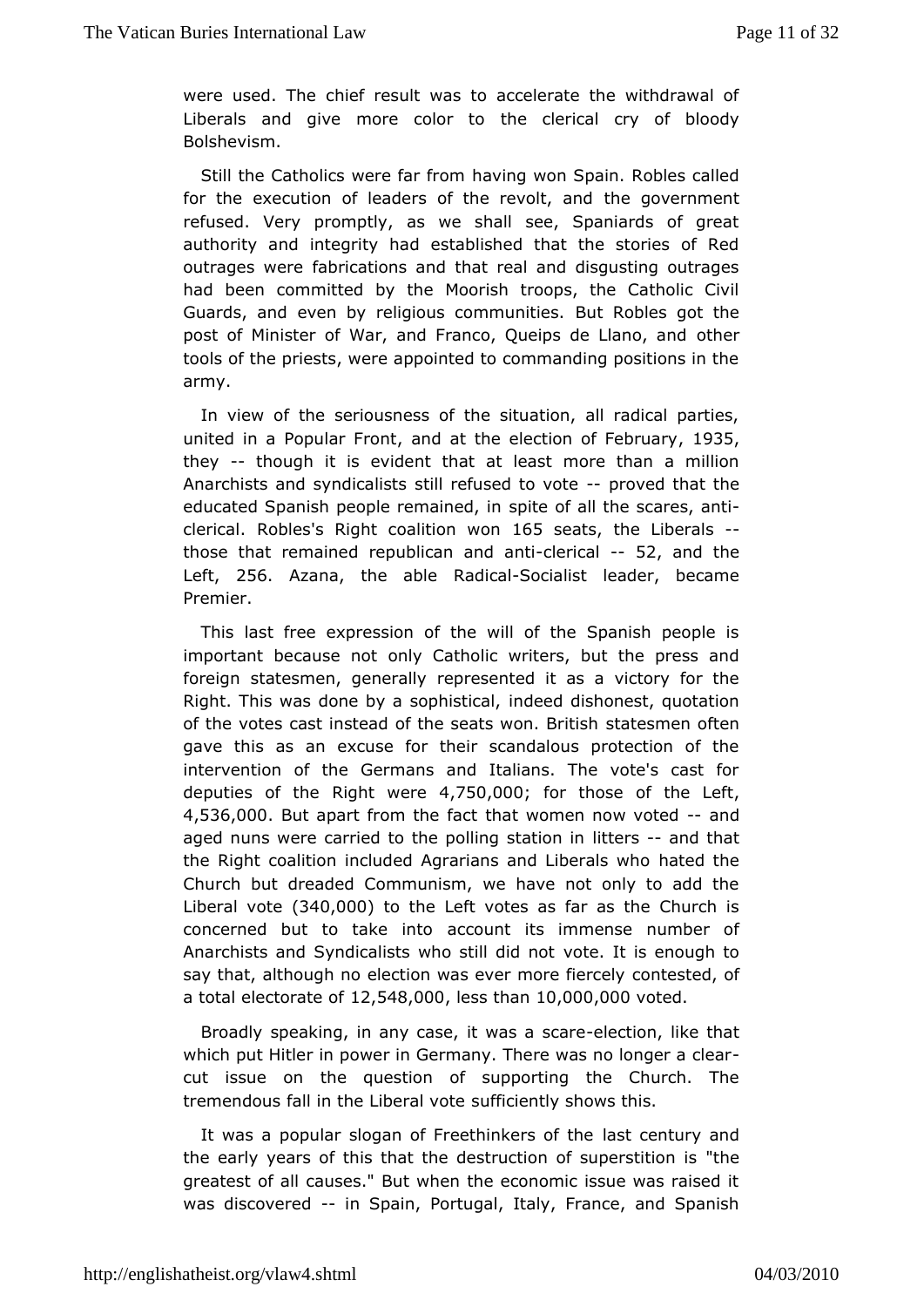were used. The ef result was to accelerate the withdrawal of Liberals and give more donlearchtourical cry of bloody Bolshevism.

Still the Catholics werehaavinforow mon Spain. Robles called for the execution of leaders of the three vood termanndent refused. Very promptly, as we shall see, Spaniards of g authority and integrity had established that the stories of outrages weabrications and that real and disqusting outrage had been committed bow oothesh troops, the Catholic Civil Guards, and even by religious communitiess got the post of Minister of War, and Franco, Queiposthober Llano, and tools of the priests, were appointed to commanding positions army.

In view of the seriousness of the situation, all radical pa united in a Popularandont the election of F1e9b35 ary they-- thoughit is evident that at least more than a million Anarchists and syndsitialist essused to --vportoeved that the educated Spanish people remaintee of iand the scares, anti  $c$ lerical Robless Right coalition 16 $\omega$ 5 osneats he Liberals those that remained republican and analysiand the Left 256 Azanathe able RadSoalalist leader, became Premier.

Thislast free expression of the will of the Spanish people important becaus enhot Catholic writers, but the press and foreign statesmen, geneemsels up the dit as a victory for the Right. This was done by a sionpolhe ies didashonest, quotation of the votes cast instead of the seats awes me Britishen gave this as an excuse for their scandalous protection of intervention of the Germans and Italians. The vote's cast deputies of Rhight werle 750,000 or those of the Left 4,536,00But apart from the haac women now votendd aged nuns were carried to the pollintges-saainodn thrat the Right coalition included Agrarians ahd the dibelials who Church but dreaded Communism, we have not only to add to Liberal  $v$   $\phi$   $\mathbf{3}$   $\mathbf{4}$   $0$  ,  $0$   $0$   $0$  to the Left votes as far as the Church is concerned but to takaccount its immense number of Anarchists and Syndicalists who vsottiel did isneethough to say that, although no election was evecomberstelide, rootly a total electorate  $5046,0,000$  ss than,000,000 ted.

Broadly speaking, in any case, it eweacstions claik ee that which put Hitler in power in Germany. There was no longer a cut issue ome question of supporting the Church. The tremendous fall in the Liberfall iventely shows this.

It was a popular slogan of Freethias ersenturive and the early years of this that the destruction "othesuperstition i greatest of all causes." But when the economic issue was rai wasdiscoveredin Spain, Portugal, Italy, France, and Spanish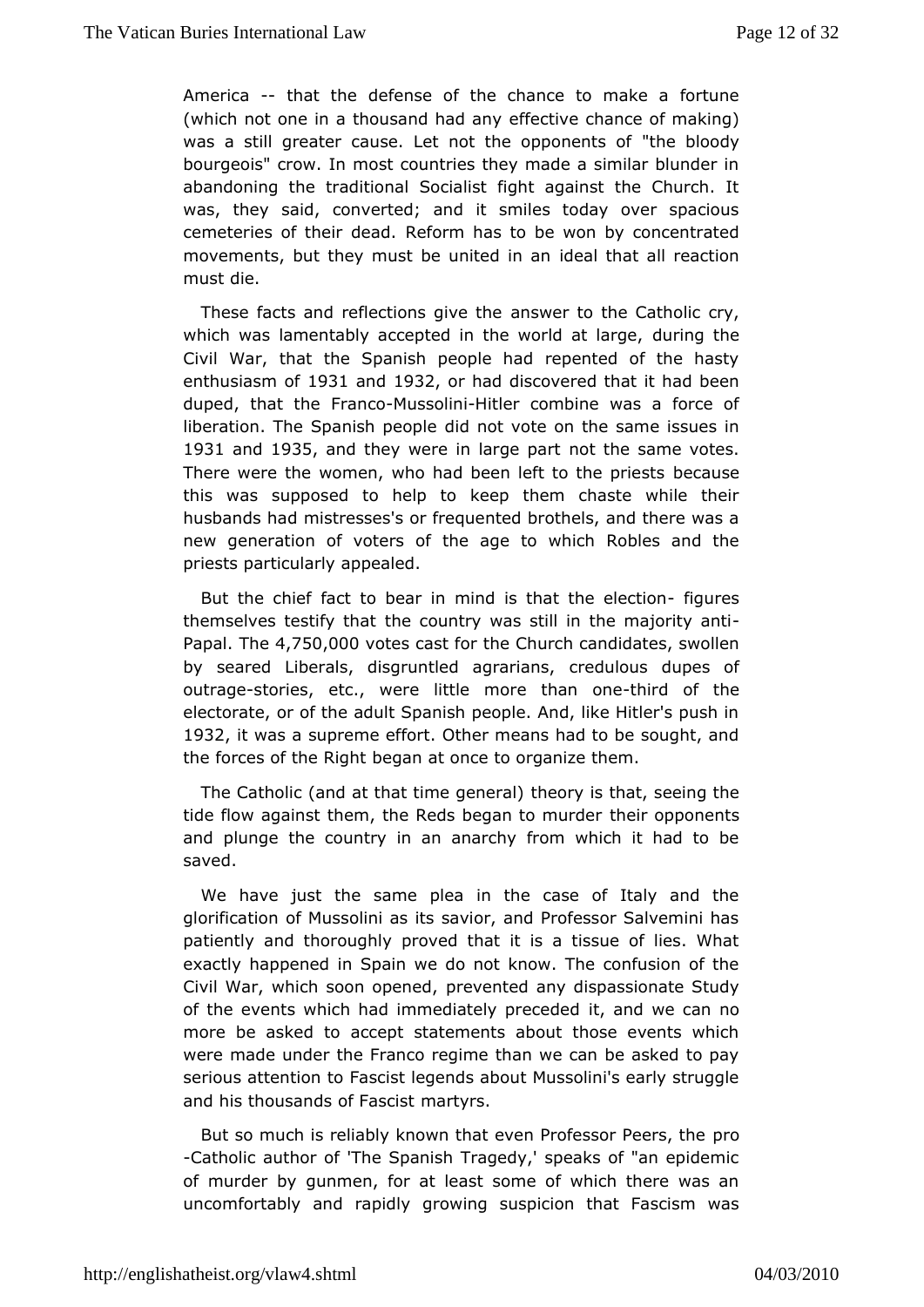America-that the efense of the chance to make a fortune (which not one in a thousand freed in a ychance of making) was a still greater cause. Let not the "the bondently of bourgeois" crow. In most countries they made a similar blund abandoning the traditional Socialist fight against the Churc was, the syaid, converted; and it smiles today over spaciou cemeteries of their Refeard has to be won by concentrated movements, but they must be unidteall ith ant all reaction must die.

These facts and reflection angiwer the catholic cry, which was lamentably accepted in the woldurlich gatthlearge, Civil War, that the Spanish people had repented of the h enthusiasm1981 and 932 or had discovered that it had been duped, that FinancMussol-ihitler combine was a force of liberation. The Spanishid emont evote on the same issues in 1931 and 1935 and they were in large tpt and same votes. There were the women, who had been leftbecatuhsee priests this was supposed to help to keep them chaste while th husbands had tresses's or frequented brothels, and there was new generation of votees age to which Robles and the priests particularly appealed.

But the hief fact to bear in mind is that fting are be ction themselves testifyheh abuntry was still in the majority anti Papal he4,750,000 tes cast for Church candidates, swollen by seared Liberals, disgruntled creegot alroians, dupes of outragsetories, etc., were little morethtinden of ontehe electorate, or of the adult Spanish people. And, like Hitler's 1932 itwas a supreme effort. Other means had to be sought, a the forces of the b Riggamt at once to organize them.

The Catholic (and at that timule experion light is eeing the tide flow against them, the Reds begtameitoopppundents and plunge the country in an anarchy from which it had to saved.

We have just the same plea in the case of Italy and t glorification of Mussolini as its savior, and Professor Salvem patient by and thoroughly proved that it is a tissue of lies. Wh exactly happenes paim we do not know. The confusion of the Civil War, which soon porpeevreended any dispassionate Study of the events which had immediateilty paned we be an no more be asked to accept statements about those events wh were made under the Franco regime than we can be asked to serious attentbioFnascist legends about Mussolini's early strugg and his thousands ofmFaascist

But so much is reliably known that even Propessor Peers, th -Catholic author of 'The Spanish Tragedy,' speaks of "an epi of murd by gunmen, for at least some of which there was an uncomfortably and roppoin whing suspicion that Fascism was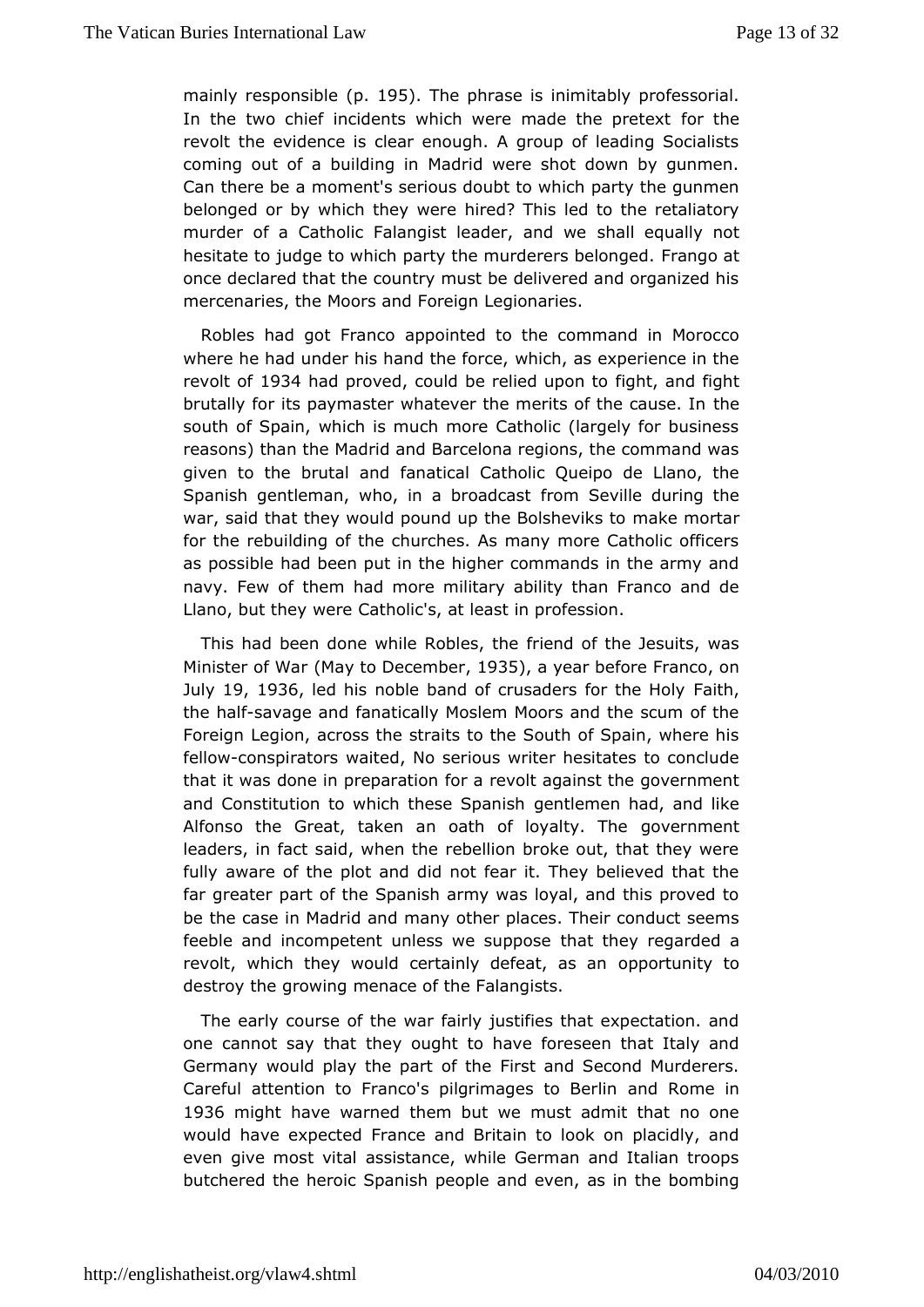mainly responspibl $\oplus$  5. The phrase nightably professorial. In the two chief incidents which were mader tthe pretext revolt the evidence is clear enough. A group of leading Soc coming out of a building in Madrid were shot down by gunm Can there breoment's serious doubt to which party the gunmen belonged or by which they rewderd his led to the retaliatory murder of a Catholic Falangist leastheall aenod awley not hesitate to judge to which party the murd**ereng belonged**. once declared that the country must be delivered and organize mercenaries, the Moors and Foreign Legionaries.

Robles had got Fappoonted to the command in Morocco where he had under his hand withing if or a sexperience in the revolt  $\phi$ 934 had proved uid be relied upigg in the and fight brutally for its paymaster whatever the merits hoef the cause. I south of Spain, which is much more Catholic (largely for bus reasonshan the Madrid and Barcelona regions, the command w given to the brutaflamantical Catholic Queipo de Llano, the Spanish gentleman, who, in a fborma Sexastle during the war, said that they would pound up the mBaok leshme ovritheas to for the rebuilding of the churches. As many more Catholic of as possible had been put in the higher commands in the army navy. Few them had more military ability than Franco and de Llano, but they Cwad holic's, at least in profession.

This had been done while Ricribess, and he Jesuits, was Minister of (Many to Decemb & 35, a yeabrefore Franco, on July19, 1936led his noble band of crusaders Flaithhe Holy the has favage and fanatically Moslem Moors and the scum of  $t$ Foreigunegion, across the straits to the South of Spain, where fellowonspirators ited, No serious writer hesitates to conclude that it was done in prefpoaratimenvolt against the government and Constitution to which thesen Spean mesh had, and like Alfonso the Great, taken an oath of glow enthomenthe leaders, in fact said, when the rebellion broke out, that they fully aware of the plot and did not fear it. They believed the far greateart of the Spanish army was loyal, and this proved be the case in Madmidnand ther places. Their conduct seems feeble and incompetent unless wheatsuthey seegarded a revolt, which they would certainly doeppartuanstyanto destroy the growing menace of the Falangists.

The eard purse of the war fairly justifies that expectation. a one cannot say they tought to have foreseen that Italy and Germany would play the partist and Second Murderers. Careful attention to Franco's pilgrimaagneds Rtom Beerhin 1936 might have warned them but we must admit that no on would have spected France and Britain to look on placidly, and even give mostawsis astance, while German and Italian troops butchered the heroic Spanish dpe ophe as in the bombing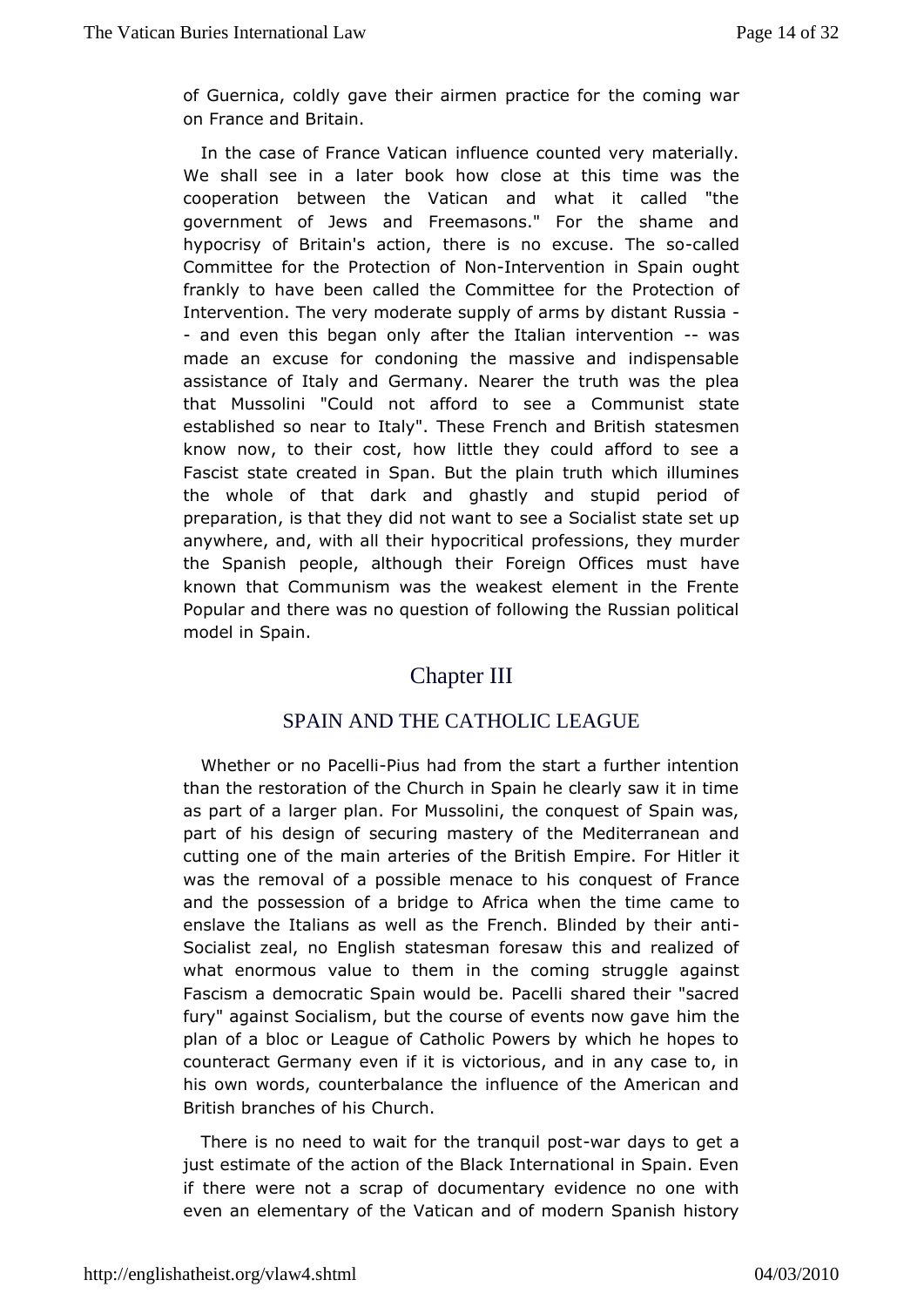of Guernica, coldly gave their airmetheorgachiighea fwoar on France and Britain.

In the case of France in Vfation counted very materially. We shall see in a later book hot time awas the cooperation between the Vatican and what it called "t government of Jews and Freemasons." For the shame and hypocrisy of Briaacithios, there is no excusecalTehet so Committee for the ProteNt bird nt of vention in Spain ought frankly to have been called the Cotheni Protectoron of Intervention. The very moderate supply of Raums aiby distant - and even this began only after the Italian wianstervention made anexcuse for condoning the massive and indispensabl assistance of ItalGeamdny. Nearer the truth was the plea that Mussolini "Could not afford Commsueneisa state established so near to Italy". These Frentahes mobrBritish know now, to their cost, how little they could afford to see Fascistate created in Span. But the plain truth which illumi the whole of to haantk and ghastly and stupid period of preparation, is that they did **see was to dident** ist state set up anywhere, and, with all their pypofecersitionesl, they murder the Spanish people, although their Foreigha@effices must known that Communism was the weakest element in the Fre Popular athere was no question of following the Russian politi model Bopain.

# Chapter III

#### SPAIN AND THE CATHOLICLEAGUE

Whether or no Plaicues I had from the start a further intention than the restoration of the Church in Spain he clearly saw it in as part a flarger plan. For Mussolini, the conquest of Spain w part of his designec of ing mastery of the Mediterranean and cutting one of the main atheribersitiosh Empire. For Hitler it was the removal of a possible mecroance under France and the possession of a bridge to Africa wheto the time cam enslave the Italians as well as the French. Blinded by their Socializeal, no English statesman foresaw this and realized what enormous valuteemo in the coming struggle against Fascism a democratic Spain woulshbeedP ahceilni "sacred fury" against Socialism, but the course of let internow gave plan of a bloc or League of Catholic Powers by which he hop counteract Germany even if it is victorious, and in any case his owwords, counterbalance the influence of the American a British branches Cohfulmicsh.

There is no need to wait for the-twan quait sp bostget a just estimate of the action of the Black International in Spain if therweere not a scrap of documentary evidence no one with even an elementary Voaftitchæn and of modern Spanish history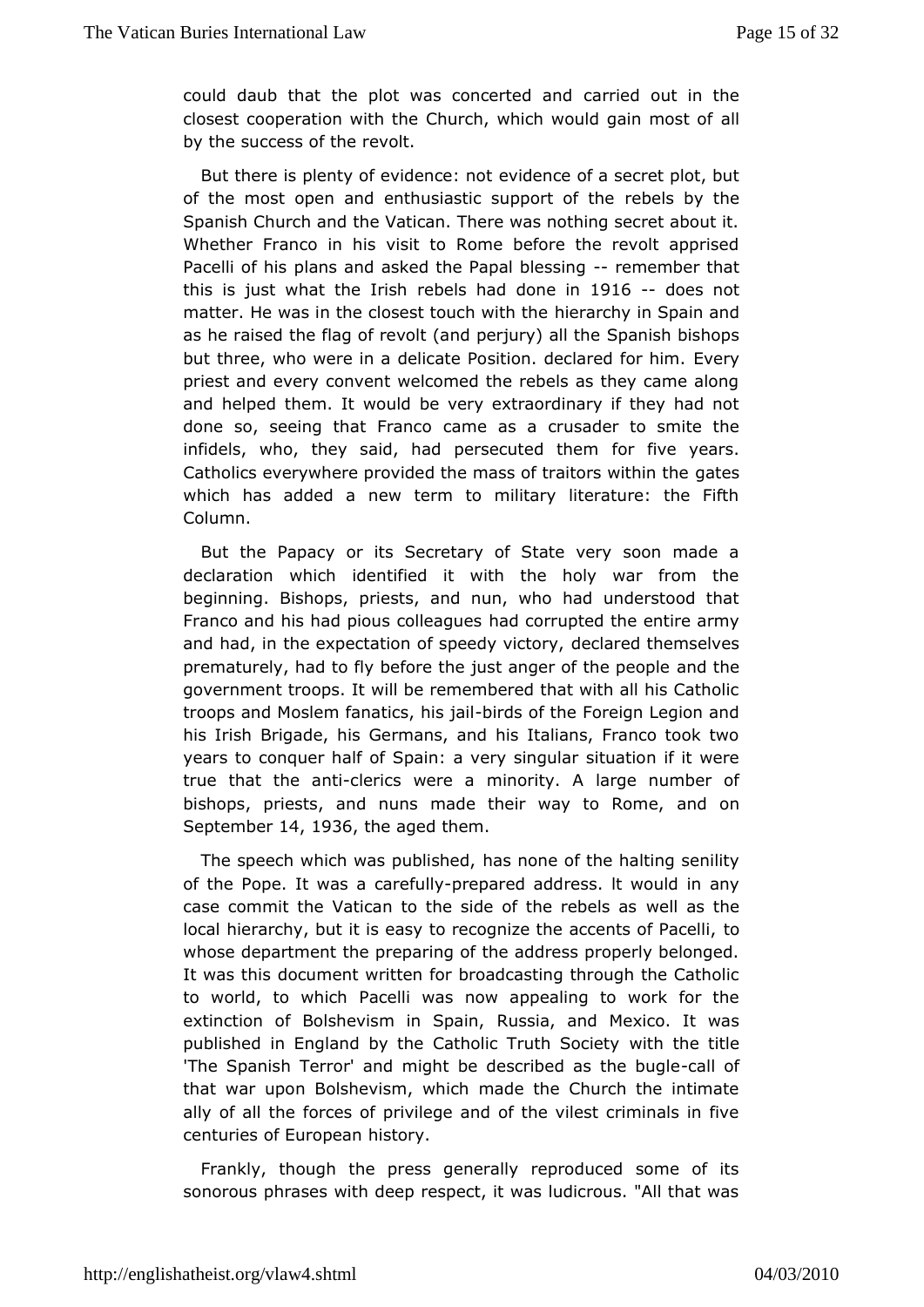could daub that the plot was conceaernrtiened annual in the closest cooperation with the Church, which woauld gain most by the success of the revolt.

But there is plenty of evideavidencheotof a secret plot, but of the most open and enthusiastic supports by tthe Spanish Church and the Vatican. There was nothing secret ab Whether Franco in his visit to Rome before the revolt app Pacelli of phass and asked the Papal-been sember that this is just what the ebels had don  $16 - 19$  and  $16 - 19$ matter. He was in the closest tobuch awid the Spain and as he raised the flag of revolt (and pSepraints) bolish books but three, who were in a delicate Position. Evelared for him. priest and every convent welcomed the rebels as they came  $i$ and helpehdem. It would be very extraordinary if they had no done so, seeing that camae cas a crusader to smite the infidels, who, they said, had persefoute the wemars. Catholics everywhere provided the mass of tgattexs within the which has added a new term to military literature: the F Column.

But the Papacy or its Secretary of State very soon made declaration which identified it with the holy war from beginning. Bishorpests, and nun, who had understood that Franco and his had pious dadde agunes pied the entire army and had, in the expectation of speedya wedtohye, mselves prematurely, had to fly before the just angeard of htehe people government troops. It will be remembered that with all his Ca troops and Moslem fanatictsi, chasofathe Foreign Legion and his IrisBhrigade, his Germans, and his Italians, Franco took t years to conquer SSaplatimof a very singular situation if it were true that the-caletrics weremiaority. A large number of bishops, priests, and nuns made their waand toon Rome. Septemb  $64$ , 1936the aged them

The speech which was published of the halting senility of the Pope. It was a **-pae pfauldadd** dress. It would in any case commit the Vatican to the side of welle as biehles as local hierarchy, but it is easy to recognize the caccents of Pa whose department the preparing of the address properly belong It was thdisscument written for broadcasting through the Cathol to world, to wPracchelli was now appealing to work for the extinction of Bolshevism iRusSspiain, and Mexico. It was published in England by the Catholic with the Soldite by 'The Spanish Terror' and might be describeallasfthe bugle that war upon Bolshevism, which made the Church the intim ally of all forrees of privilege and of the vilest criminals in fi centuries of Eurbipset any.

Frankly, though the press generally reproduced some of sonorous phrases with deep respect, it was ludicrous. "All th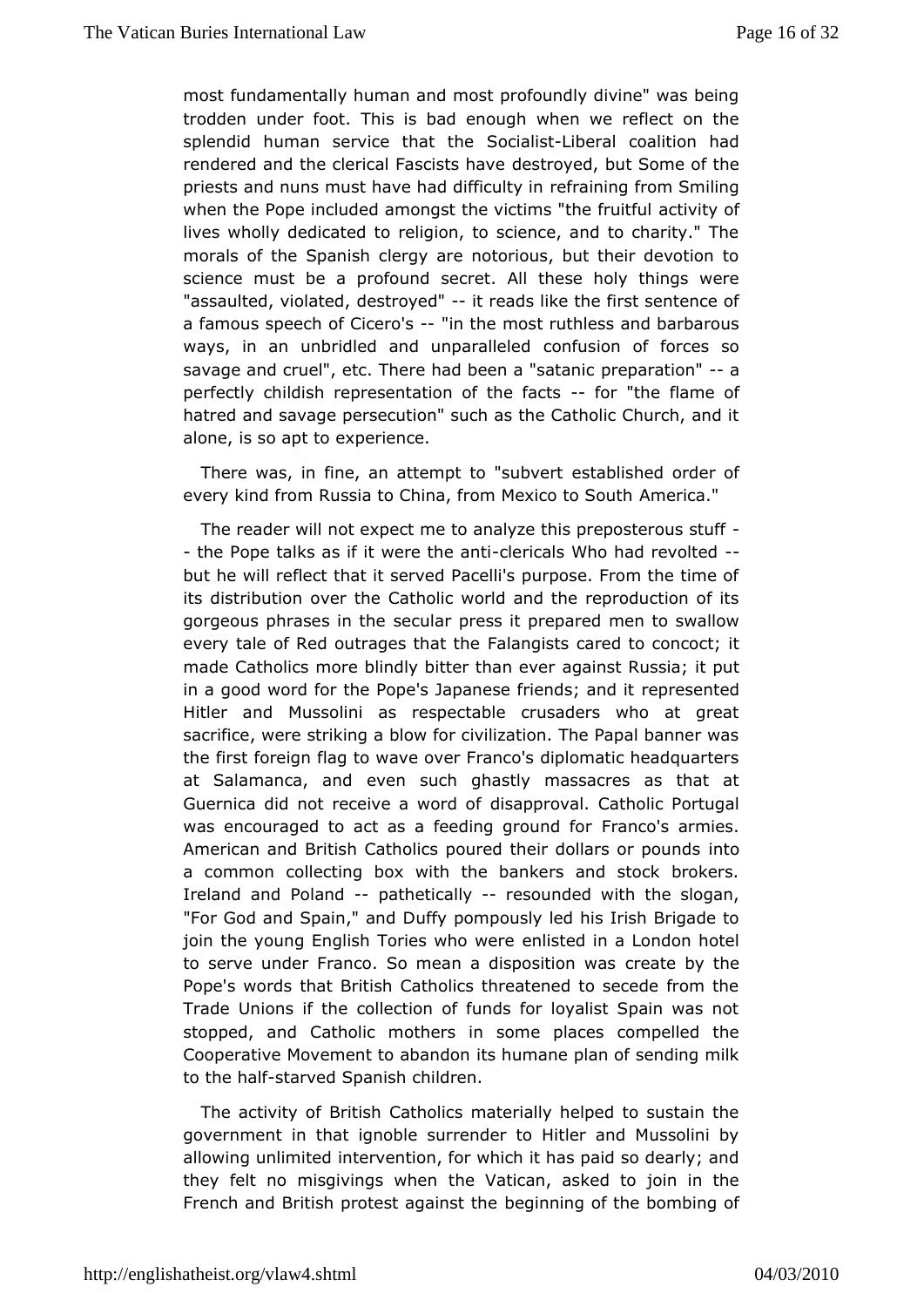mostfundamentally human and most profoundly divine" was being trodden under flohat. is bad enough when we reflect on the splendid human service tShoadiathibitheral coalition had rendered and the clerical Fadests wheat ebut Some of the priests and nuns must have had refit ainuility from Smiling when the Pope included amongst the victimosivithye offruitful lives wholly dedicated to religion, to science, and to charity morals of the Spanish clergy are notorious, but their devoti science m best a profound secret. All these holy things were "assaulted, vio blaetset of pye-d'it reads like the first sentence of a famous speech of  $G$ -iceration of the most ruthless and barbarous ways, in an unbridled and unpoanrfaulseibend of forces so savage and cruel", etc. There had beempar<sup>basi</sup>ad a thic perfectly childish representation-oforh et he amse of hatred and savage persecution" such as the Catholic Church, alone, is so apt to experience.

There was, in fine, an attempt  $est$  at an information of every kind from Russia to China, from Menxectoc to South

The reader will not expect me to analyze this preposterous stuff - the Pope talks as if it we-redethie a as two had re-volted but hwill reflect that it served Pacelli's purpose. From the tir its distribu tho over the Catholic world and the reproduction of it gorgeous phrases sincular press it prepared men to swallow every tale of Red outrages  $F$  a heart gibes cared to concoct; it made Catholics more blindly bittegathes rt Russia; it put in a good word for the Pope's Japaneserefpireensdesn; teachd it Hitler and Mussolini as respectable crusaders who at g sacrifice, were striking a blow for civilization. The Papal ban the firfsdreign flag to wave over Franco's diplomatic headquart at Salamanca, eavnedn such ghastly massacres as that at Guernica did not receive adisvaop droval. Catholic Portugal was encouraged to act as a feedin $\mathbf{F}$ rancomist armies. American and British Catholics poured their doodldars or pound a common collecting box with the bankers and stock broke Ireland a Polland-pathetically esounded with the slogan, "For God and SpainDuffayn opompously led his Irish Brigade to join the young English Toriese my haotewde in a London hotel to serve under Franco. So mean a dispoexation whas Pope's words that British Catholics threatened to secede fro Trade Unions if the collection of funds for loyalist Spain was stopped, a Gatholic mothers in some places compelled the Cooperative Movement to ias candonane plan of sending milk to the halfarved Spanish children.

Theactivity of British Catholics materially helped to sustair government that ignoble surrender to Hitler and Mussolini by allowing unlimintted vention, for which it has paid so dearly; and they felt no misgiving the wheatican, asked to join in the French and British protest abgeggiims mating eof the bombing of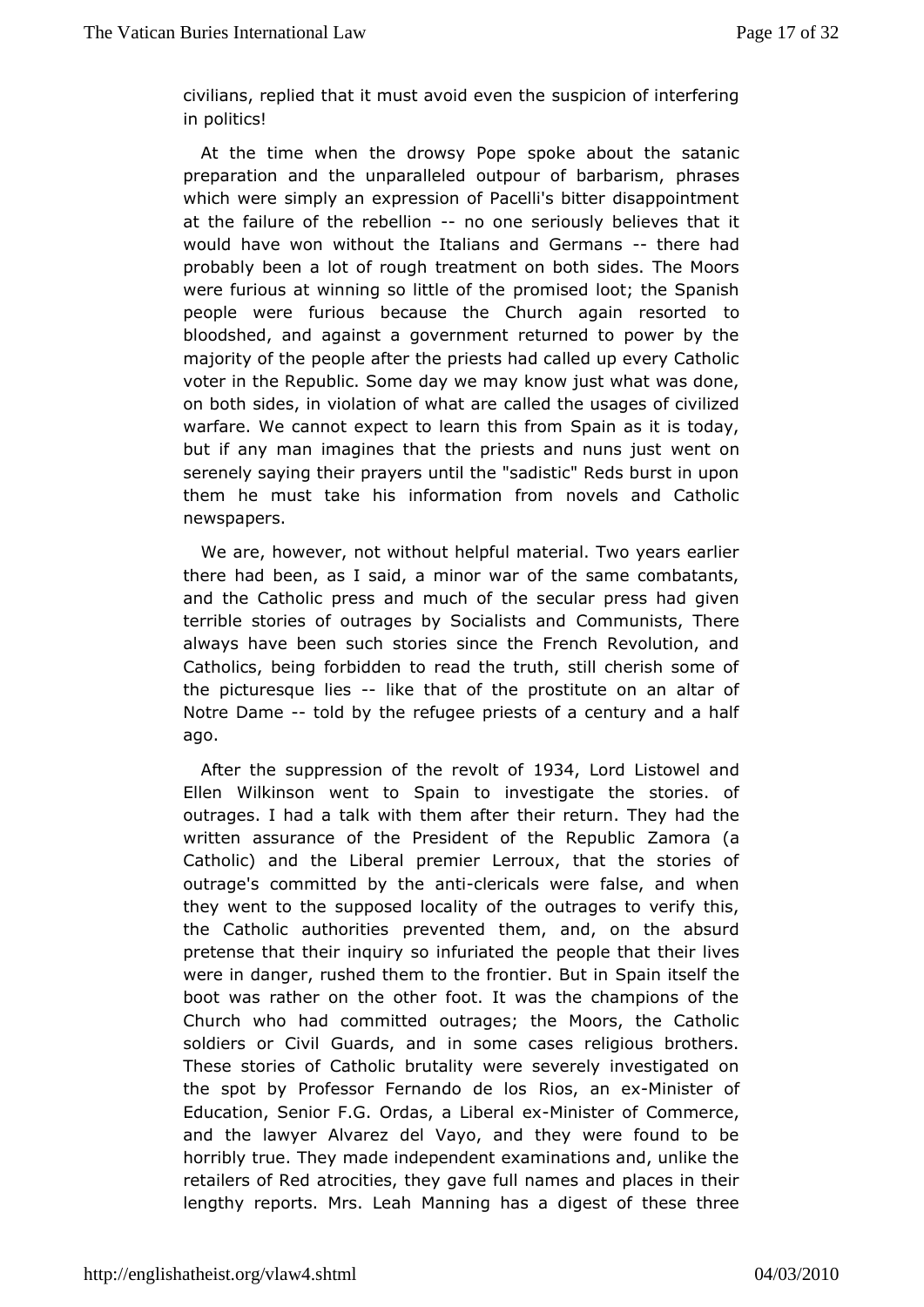civilians, replied that it must avouisd peovion to the interfering in politics!

At the time when the drowspo Peopæbout the satanic preparation and the unparalleled outpourpbfabasbarism, which were simply an expression of Pacelli's bitter disappoir atthe failure of the rebablione seriously believes that it would have won thout the Italians and Gethmeaeshad probably been a lot offreraturatent on both sides. The Moors were furious at winning so lptrtolenics fedth boot; the Spanish people were furious because the Church atopain resorted bloodshed, and against a government returned to power by majority of pthe ple after the priests had called up every Cathol voter in the RepSudomic.day we may know just what was done, on both sides, in violation  $\alpha$  fa whe datt are usages of civilized warfare. We cannot expect to lea $\delta$  patimisa from is today, but if any man imagines that the priests weend nouns just serenely saying their prayers until the "sadistic" Reds burst i them he must take his information from novels and Catho newspapers.

Weare, however, not without helpful material. Two years ea there had been, saasid, a minor war of the same combatants, and the Catholic press and the ush cofar press had given terrible stories of outrages by S**G** cimalists and There always have been such stories since the French Revolution Catholics, being forbidden to read the truth, still cherish sc thepicturesque -lide is that of the prostitute on an altar of Notre Dametold by the refugee priests of a century and a half ago.

After the uppression of the relogional Listowel and Ellen Wilkinson we Spain to investigate the stories. of outrages. I had a talk with ttheem at etteurn. They had the written assurance of the President of ZameonRaep(ablic Catholic) and the Liberal premier Lerroux, that the storie outrage's committed by -the rizatis were false, and when they went to stuh peposed locality of the outrages to verify this the Catholic authopriot besented them, and, on the absurd pretense that their inquiry so inpfeaoipalteed htahtetheir lives were in danger, rushed them to the from antitudent the boot was rather on the other foot. It was the champions of Church who had committed outrages; the Moors, the Catho soldiers or Giwards, and in some cases religious brothers. These stories of Clantulated were severely investigated on the spot by Professor Fernando bos de a ho- Sultimation of Education, Senior F.G. Ordas, -Mihibtera Codema merce, and the lawyer Alvarez del Vayo, and they were found to be horribtyue. They made independent examinations and, unlike t retailers of a Reodcities, they gave full names and places in the lengthy reports. MrsMaLnenaihg has a digest of these three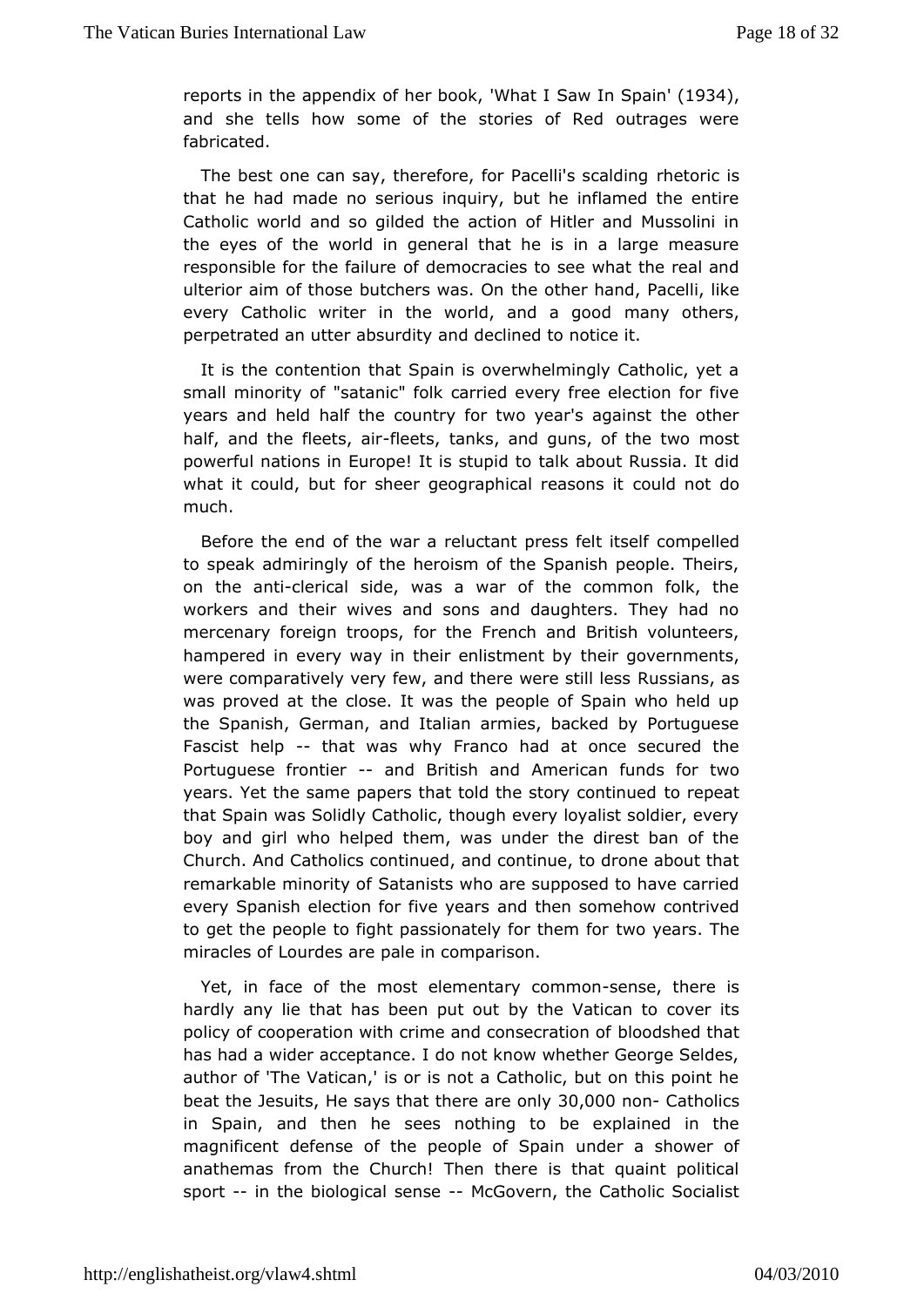reports in the appendix of her b**6ak**, I'M Sata 1934. and she tells how some of the stories of Red outrages w fabricated.

The best one can say, therefore, for Patcelbir is signalding that he had made no serious inquiry, but he inflamed the e Catholic world and so gilded the action of Hitler and Musso the eyes tohfe world in general that he is in a large measur responsible for the offaille unmercacies to see what the real and ulterior aim of those butchets ewashe Ormand, Pacelli, like every Catholic writer in the world, maady aotchceords, perpetrated an utter absurdity and declined to notice it.

Itis the contention that Spain is overwhelmingly Catholic, y small minorit'y sautanic" folk carried every free election for fiv years and held had but htery for two year's against the other half, and the fleeftlse, etest, and guns, of the two most powerful nations in Europe! It tias Ikstauhpoid tt & ussia. It did what it could, but for sheer geographicocaul demastordso it much.

Before the end of the war a reluctant proemspsefeed titself to speak admiringly of the heroism of the Spanish people. The on the antilerical side, was a war of the common folk, the workers and tweves and sons and daughters. They had no mercenary foreign troops, Fried roth and British volunteers, hampered in every way in their enthistment by ments, were comparatively very few, and there Rwese astsill alsess was proved at the close. It was the people of Spain who hel theSpanish, German, and Italian armies, backed by Portugu Fascist helpthatwas why Franco had at once secured the Portuguese fron-tiærrd British American funds for two years. Yet the same papers that told the tsotorey permit inued that Spain was Solidly Catholic, though every loyalist soldier boy and girl who helped them, was under the direst ban of Church. AChadtholics continued, and continue, to drone about th remarkable minorStayt aorfists who are supposed to have carried every Spanish election for and thearsomehow contrived to get the people to fight passionatelty wo over them The miracles of Lourdes are pale in comparison.

Yet, in faceth**e** fmost elementary commons there is hardly any lie that has beemy puhte olatican to cover its policy of cooperation with crime and  $\phi$ doodshætd othath has had a wider acceptance. I do not know whether George Se author of 'The Vatican,' is or is not a Catholic, but on this p beat the suit is e says that the reast  $\theta$ ,  $\theta$   $\theta$   $\theta$   $\phi$  on  $C$  atholics in Spain, and the see the nothing to be explained in the magnificent defense of the peopluendoefr Sapasilmower of anathemas from the Church! Then there is that quaint poli sport- in the biological-sent overn, the Catholic Socialist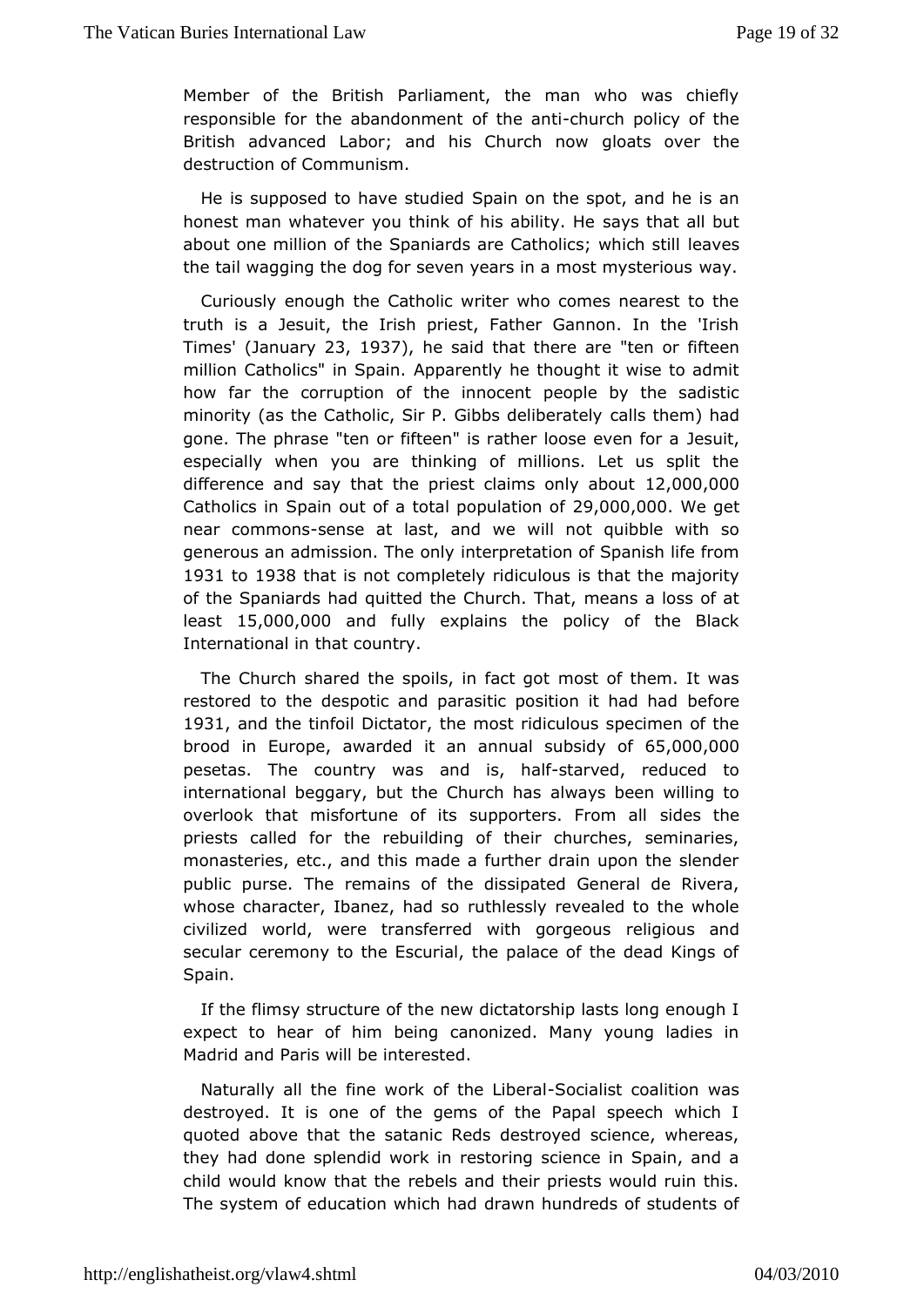Member othe British Parliament, the man who was chiefly responsible for the aband for the  $n \neq n$  thurch policy of the British advanced Labor; and his Cathounactsh on over the destruction of Communism.

He is supposed to have Spaudion the spot, and he is an honest man whatever you think of his experts thin tay that but about one million of the Spaniards are Cathoaivces which still the tail wagging the dog for seven years in a wan post mysterious

Curiously enough the Catholic writer who comes nearest to truthis a Jesuit, the Irish priest, Father Gannon. In the 'I Times(Januar $x/3$ , 1937, he said that the reteared fifteen million Catholics" in Appearion atly he thought it wise to admit how far the corruption of the peoploce by the sadistic minority (as the Catholic, Sir P. Gibballdse the eernathely deliberation of the mediation of gone. The phrase "ten or fifteen" is rather Jlesusie, even for a especially when you are thinking of millions. Let us split difference and say that the priest claims, 000r0l, 00a0bout  $C$ atholics Sprain out of a total populsa, to  $0.000$  .  $0.000$  e get near commes es at ast, and we will not quibble with so generous an admission. inherpnetation of Spanish life from 1931 to1938 that is not compried ties lylous is that the majority of the Spaniards had quitted the Chineuan b. a Thoasts of at least15,000,000nd fully explains the policy of the Black International in that country.

The Church shared the spoils, mostaot ghoem. It was restored to the despotic and parasitic posible foor eit had had 1931 and the tinfoil Dithetomost ridiculous specimen of the broodin Europe , awarded it an annual subsidy of 65,000,000 pesetas. The countryanwhass, heatlarved, reduced to international beggary, but the  $6$  hways been willing to overlook that misfortune of its supportseindes From all priests called for the rebuilding of their churches, semina monasteries, etc., and this made a further drain upon the slen public pursue remains of the dissipated General de Rivera whose character, Ibanez, thalo ssoly revealed to the whole civilized world, were transferred witteliggioorugseoansd secular ceremony to the Escurial, the palace of the dead Kings Spain.

If the flimsy structure of the new dictatorship lasts long enc expect to hear of him being canonized. Many young ladies Madrid and Pwainlishe interested.

Naturally all the fine work of-Socialist a alltion was destroyed. It is one of the gems of the Papal speech whi quoted above that the satanic Reds destroyed science, whe they had dosmpetendid work in restoring science in Spain, and child would know thraet the and their priests would ruin this. The system of education wdhia which had ndreds of students of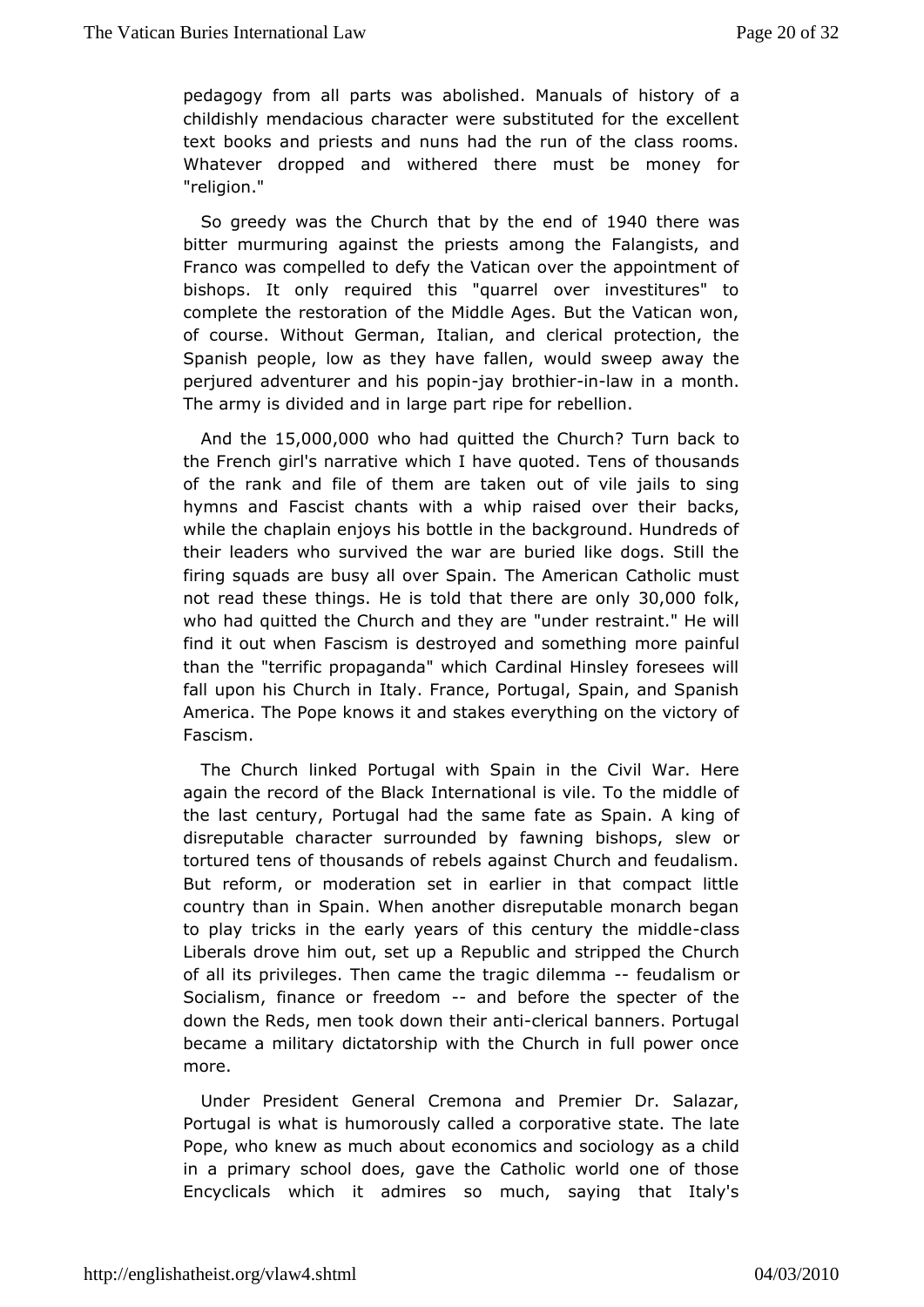pedagogy from all parts was abolished is Manyuals a of childishly mendacious character were substituted for the exc text books and priests and nuns had the run of the class ro Whatever drop**aed** withered there must be money for "religion."

So greedy was the  $\mathfrak C$  maurchy the end  $940$  there was bitter murmuring against the priests Faalmanogigstsheand Franco was compelled to defy the Vatican over the appointme bishops. It only required this "quarrel over investitures" complete the storation of the Middle Ages. But the Vatican wo of course. Without Getramliaan, and clerical protection, the Spanish people, low as they haveldasweep away the perjured adventurer and hiasy poopthine aw in maonth. The army is divided and in large part ripe for rebellion.

And the  $5,000,000$  ho had quitted the ? Thus ncho ack to the French girl's nawhiadhve have quoted. Tens of thousands of the rank and file of them oaute dakkeine jails to sing hymns and Fascist chants with a whip raibsænd kso, ver their while the chaplain enjoys his bottle in the background. Hundr theireaders who survived the war are buried like dogs. Still firing squadsbase all over Spain. The American Catholic must not read these thingstolldethist there  $ar\theta$  0000 $\theta$  olk who had quitted the Church and untudely reense traint." He will find it out when Fascism is destroyed anodespanienthuilng than the "terrific propaganda" which Cardinal Hinsley foreser fall upon his Church in Italy. France, Portugal, Spain, and S America. Phope knows it and stakes everything on the victory Fascism.

The Churbimked Portugal with Spain in the Civil War. Her again the record of the tB<sub>reak</sub> ional is vile. To the middle of the last century, Portugal had attlee as a Sepain. A king of disreputable character surrounded by fawshew orgishops, tortured tens of thousands of rebels against Church and feud Butreform, or moderation set in earlier in that compact li country than Spain. When another disreputable monarch began to play tricks in the earolfy tyhesar sentury the -cmlassidle Liberals drove him out, set up a Reerpipupbelicht tahred Church of all its privileges. Then came the  $t \cdot f \cdot g$  indisime moral Socialism, finance or freeenddombefore the specter of the downthe Reds, men took down-theircanhtbanners. Portugal became a milidiarty atorship with the Church in full power once more.

Under Presid General Cremona and Premier Dr. Salazar, Portugal is what is humorousd $\varphi$ rportlætdve state. The late Pope, who knew as much about economics a mad choid ology in a primary school does, gave the Catholic world one of t Encyclicals which it admires so much, saying that Ital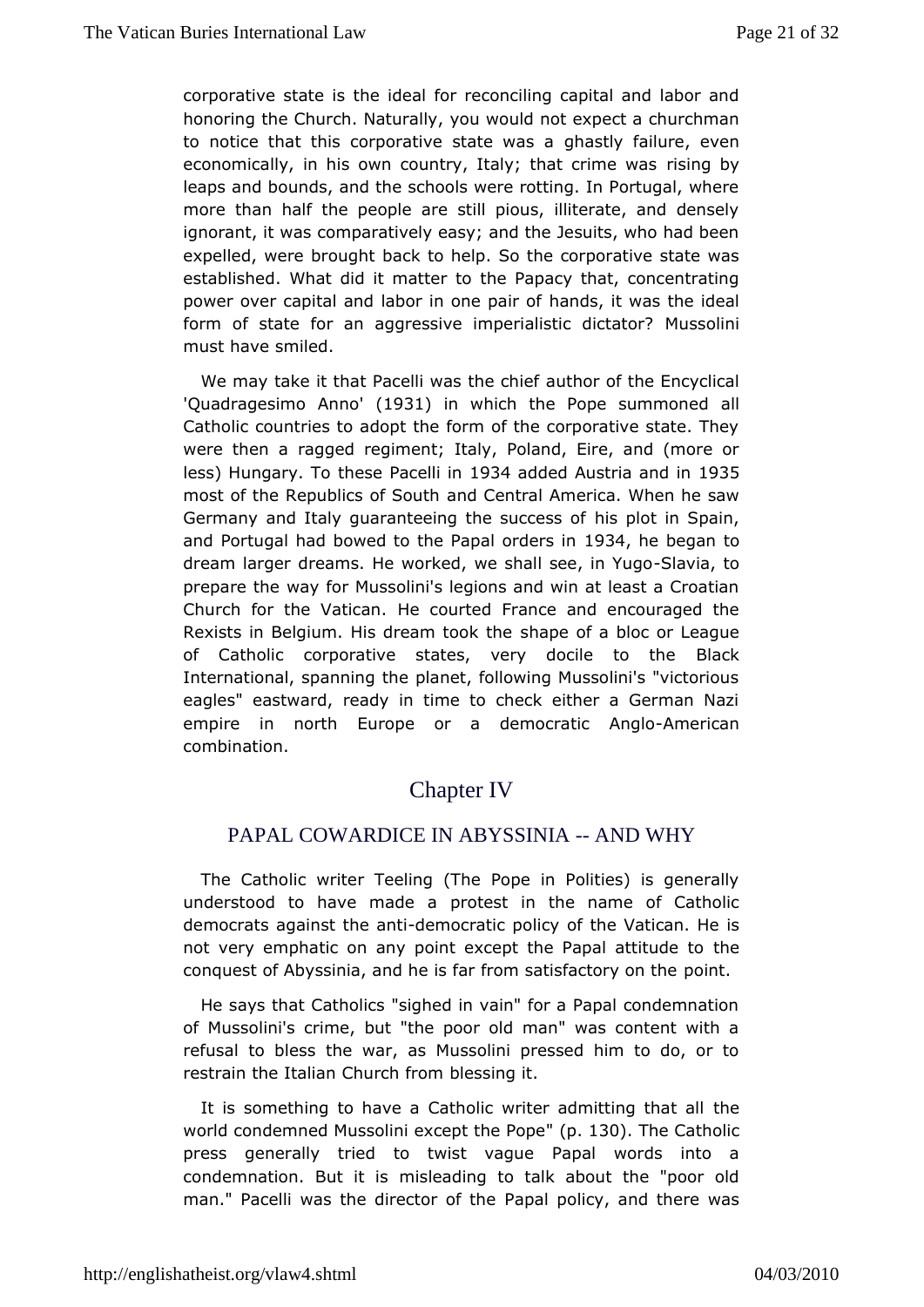corporative stathee is deal for reconciling capital and labor and honoring the Church. Nyaourald wild not expect a churchman to notice that this corporative sqthadetly a failure, even economically, in his own country, Italy; the incrime was leaps and bounds, and the schools were rotting. In Portugal, more than half the people are still pious, illiterate, and  $d\epsilon$ ignorant, wats comparatively easy; and the Jesuits, who had been expelled, were browaw that help. So the corporative state was established. What did it the extract  $P$  aptuacy that, concentrating power over capital and labor inhandspailtr was the ideal form of state for an aggressive imperiaMusticoldimictator? must have smiled.

We may take it that Pacelli was utthe confielie Encyclical 'Quadragesimo 'Anno Boot' in which the Pope summant bned Catholic countries to adopt the form of the corporative state. werethen a ragged regiment; Italy, Poland, Eire, and (more less) Hungarythese Pacel193#added Austria ann 2635 n most of the Republics and Cueth tral America. When he saw Germany and Italy guaranteeing the isupclocets in offpain, and Portugal had bowed to the PapaB the debs giano dream larger dreams. He worked, we shall as we a, it o Yugo prepare tway for Mussolini's legions and win at least a Croat Church for the Valtlica anourted France and encouraged the Rexists in Belgium. His dreamh apek of ha bloc or League of Catholic corporative states, very doBcliane to the International, spanning the planet, following Mussolini's "victor eagles" eastward, ready in time to check either a German empire in nomElarope or a democraticAmAerrigdan combination.

# **ChapterIV**

### PAPAL COWARDICE IN ABYSSINIA-- AND WHY

The Cathow irditer Teeling (The Pope in Polities) is general understood to have madeteat in the name of Catholic democrats against the mandiatic polit hype of atican. He is not very emphatic on any point except the Ptahpeal attitude to conquest of Abyssinia, and he is far from spoiisnifactory on the

He says that Catholics "sighed in vain" for a Papal condemn of Mussolini's crime, but "the poor old man" was content wit refusal to btheswar, as Mussolini pressed him to do, or to restrain the Italian Chubrlochs sing it.

It is something to have a Catholic writer admeitting that all world condemned Mussolini except. 158@. Folomecatholic pressgenerally tried to twist vague Papal words into a condemnation. Butmislesading to talk about the "poor old man." Pacelli was the direc Papad fpt onlight of the rewas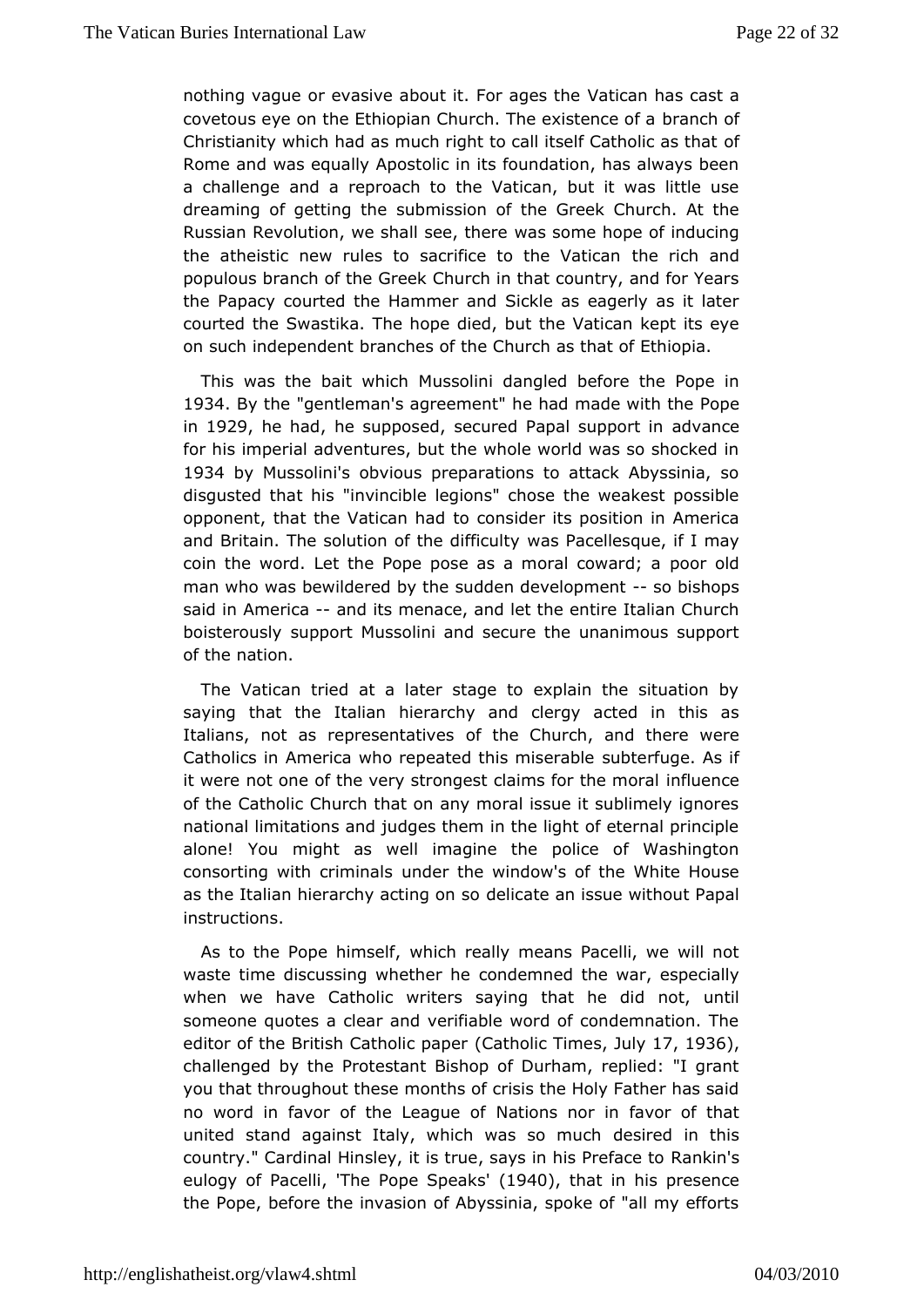nothing vague or evasive about it. VFactrican one batshecast a covetous eye on the Ethiopian Church. The enxistence of a Christianity which had as much right to call itsoefif Catholic as Rome and was equally Apostolic in its foundation, has always a challengued a reproach to the Vatican, but it was little us dreaming of getting unthession of the Greek Church. At the Russian Revolution, we shallwases other bope of inducing the atheistic new rules to sacrifice to hetheic of a taincoan populous branch of the Greek Church in that country, and for the Papacy courted the Hammer and Sickle as eagerly as it courted the astika. The hope died, but the Vatican kept its  $e^{\frac{1}{2}}$ on such indepemdenthes of the Church as that of Ethiopia.

This was the bait Muuhsisblini dangled before the Pope in 1934 By the gentlem's nagreement had had ade with the Pope in1929he hache supposed cured Papal supportame for his imperial adventures, but the whole world was so shocl 1934by Mussolini's obvious preparations to attack Abyssinia disgusted that invincible legions" chose the weakest possible opponent, that the Vatitocan comasd der its position in America and Britain. The solution of the asd iPf biocalliteys que, if I may coin the word. Let the Pope pose as a mporal oboward; a man who was bewildered by the sudden-dseoveblishphonepsit said iAnmericaand its menace, and let the entire Italian Church boisterouslupport Mussolini and secure the unanimous support of the nation.

TheVatican tried at a later stage to explain the situation by saying that thælian hierarchy and clergy acted in this as Italians, not as represeonitathive  $\mathcal{L}$  hurch, and there were Catholics in America who repeated tshui**s** tenrifsuegreables if it were not one of the very strongest claimmsflucern thee moral of the Catholic Church that on any moral issue it sublimely ig national limitations and judges them in the light of eternal pr alone. You might as well imagine the police of Washingto consorting with crimmidials the window's of the White House as the Italian hierarchy acdenig come scon issue without Papal instructions.

As to the Pope himmisied if, really means Pacelli, we will not waste time discussing wheedhelem heed the war, especially when we have Catholic writers saying not tatulatid id someone quotes a clear and verifiable word of condemnation editor of the British Cath $(Q)$  ad hpod poen  $\overline{T}$  indees of 7, 1936, challengby the Protestant Bishop of Durham, replied: "I grant you that throughoutmtohnetshes of crisis the Holy Father has said no word in favor of the Lelangiusen sofnor in favor of that united stand against Italy, which was sisroed minchthis country." Cardinal Hinsley, it is true, say sR am khins's Preface to eulogy of PacTehlei Pope Sp'e(alos40), that in his presence thePope, before the invasion of Abyssinia, spoke of "all my e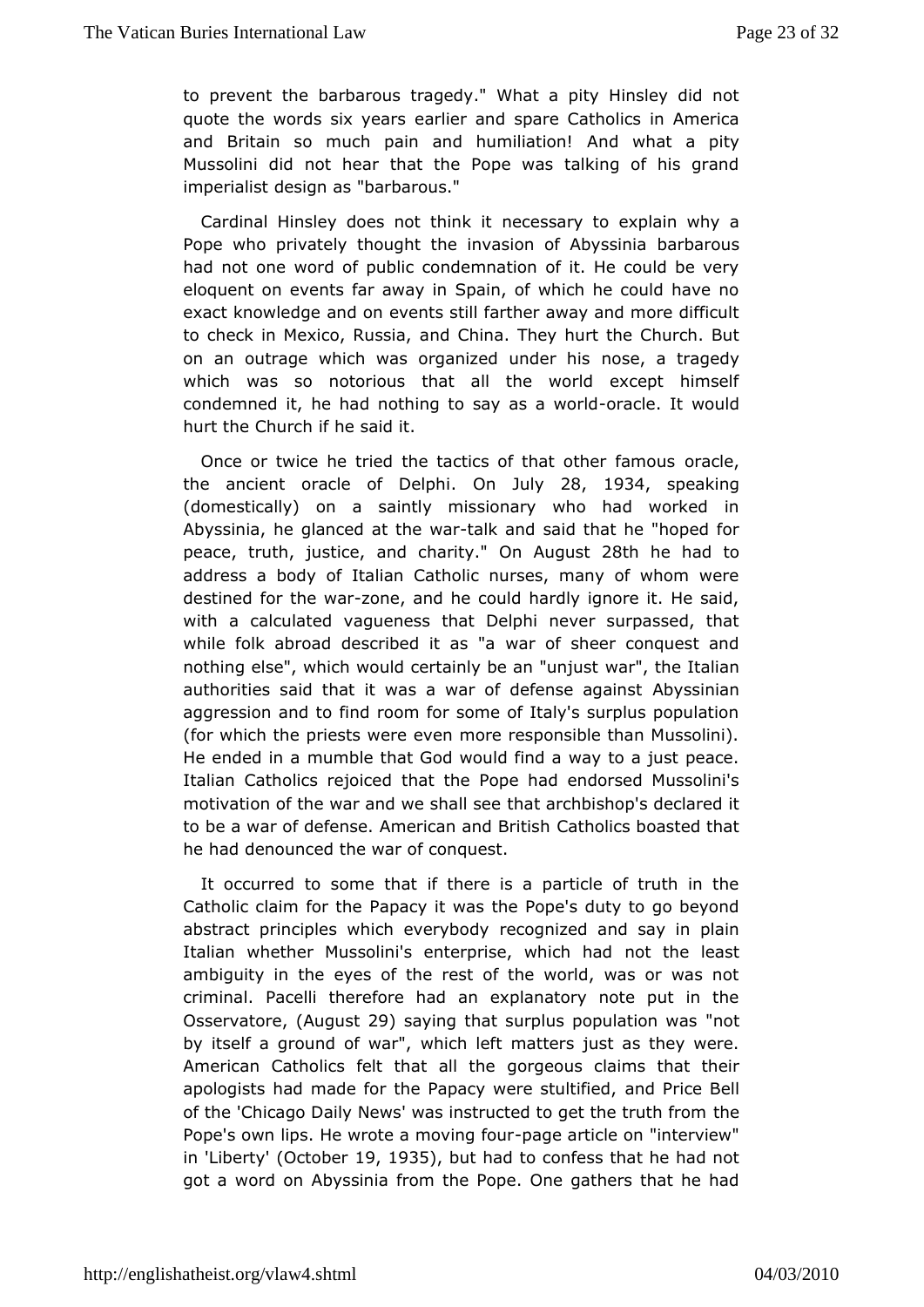to prevent blaebarous tragedy." What a pity Hinsley did not quote the words sixe a plaints and spare Catholics in America and Britain so much pain and hamdliathen! a pity Mussolini did not hear that the Pope was talking of his gra imperialist design as "barbarous."

Cardinal Hinsley does notethes barty to explain why a Pope who privately thought the invasiom antia byssinia had not one word of public condemnation of it. He could be eloquent on events far away in Spain, of which he could have exact knowleadrgeb on events still farther away and more difficul to check in Mexico, aRnudssClaina. They hurt the Church. But on an outrage which was organized osedea hias edy which was so notorious that all the world except hims condemned it, he had nothing to savrasie. Worwould hurt the Chufche said it.

Once or twice he tried the tactics of thad randheer famous the ancient oracle of  $O\text{Re}$  phuly28, 1934 speaking (domesticalbyn) a saintly missionary who had worked in Abyssinia, he glanced a-ttathkand araid that he "hoped for peacetruthjustice and charit On August Bihhe had to address a body of Italian Catholic nurses, many of whom v destine foot the wzarne, and he could hardly ignore it. He said, with a calcular and eness that Delphi never surpassed, that while folk abroad described wat as sheer conquest and nothing else", which would certainly wheer "anth" an Italian authorities said that it was a war of d**Abeynssein hagmainst** aggression and to find room for some of Italy's surplus popu (for which the priests were even more responsible than Musse He ended immuamble that God would find a way to a just peace. Italian Catholics rehaiceble Pope had endorsed Mussolini's motivation of the war and wethsalt addreshedeishop's declared it to be a war of defense. AmericanCantholiBorstibsohasted that he had denounced the war of conquest.

It occurred some that if there is a particle of truth in the Catholic claim foaphey it was the Pope's duty to go beyond abstract principles which every and and say in plain Italian whether Mussolini's enterprise ot withing hichaasd ambiguity in the eyes of the rest of the world, was or was criminal. Pacelli therefore had an explanatory note put in Osservato (Aeugus 29) saying that surplus populantiod n was by itself a ground owhwah", left matters just as they were. American Catholics felt thantorangle outsee claims that their apologists had made for the Papacy waenrob BstudeifBeedl, of the 'Chicago Daily News' was instructed to to the truth from Pope's own lips. He wrote a mpoavgienganticialre on "interview" in'Liber't $y$ Octobeir9, 193 $5$ , but had to confess that he had not got a word Addnyssinia from the Pope. One gathers that he had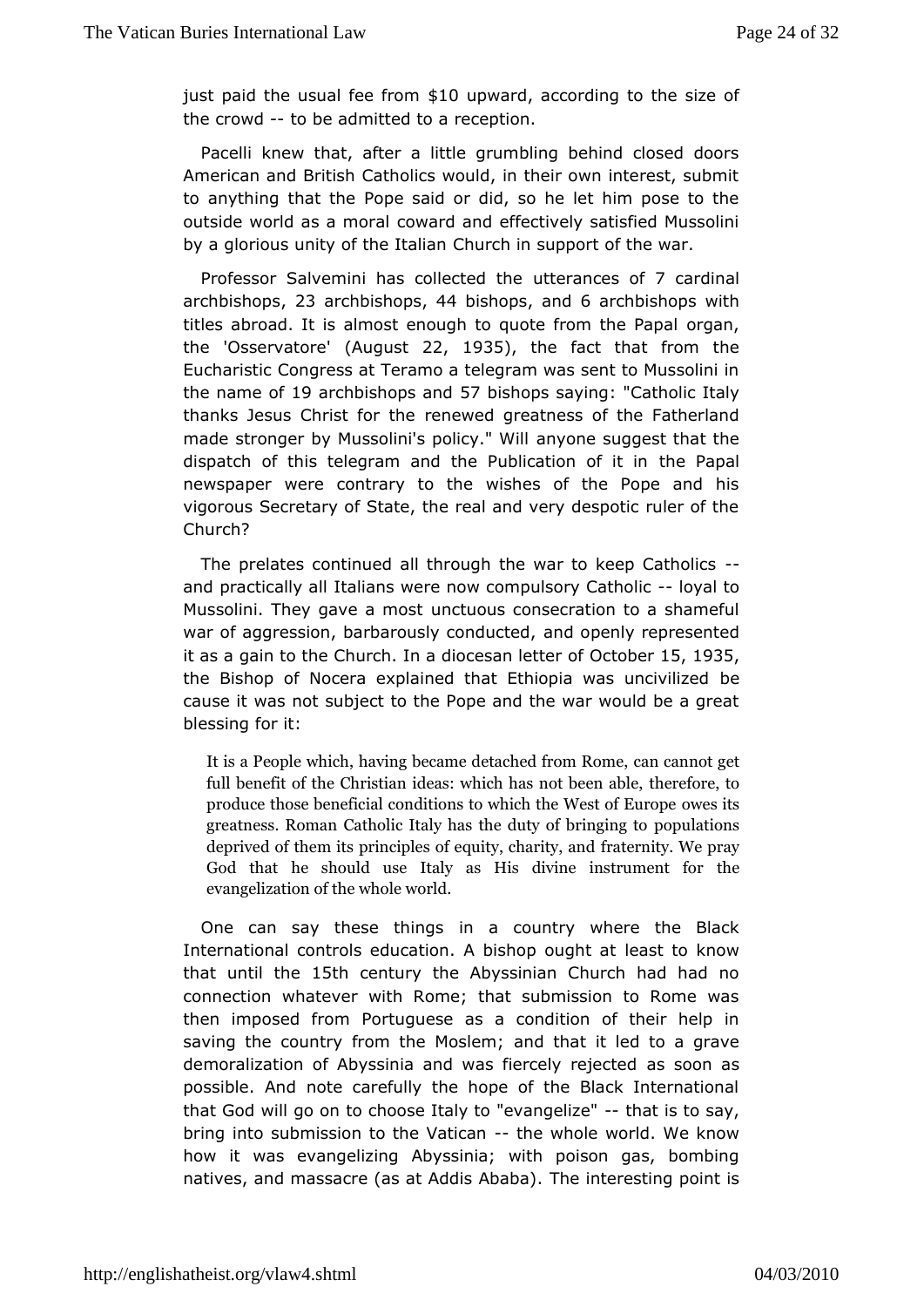just paid the usual f&d Of upward according to the size of the crowd to be admitted reception.

Pacelli knew that, after a little grumbling behind closed  $\alpha$ American and British Catholics would, in their own interest, and to anythin hat the Pope said or did, so he let him pose to the outside world as a comwaad and effectively satisfied Mussolini by a glorious unity of the ultrahiaim support of the war.

Professor Salvemini has colute the each destrocardinal  $archbisho@\$$  archbish.o $\Leftrightarrow$  bishops  $nds$  archbishops with titles abroad. It is almost enough to quoteofgomm, the Papal the 'Osservat' of  $A$ ugust2, 1935, the fact that from the Eucharis Ciccngress at Teramo a telegram was sent to Mussolini the name 109 farchbishops 5a7nbdishops sayi©antholic Italy thanks Jesus Christ rieorre wheed greatness of the Fatherland made stronger by Mussolini's pamiyone" S Midhest that the dispatch of this telegram and the PublitcheetioPnapoenfilit in newspaper were contrary to the wishes of the Pope and vigorous ecretary of State, the real and very despotic ruler of Church?

Theprelates continued all through the war to-keep Catholic and practically a bildins were now compulsory I Contain or location Mussolini. They gaveum contuost to a shameful mussolini. They gaveum contubus consecration to a shameful war of aggression, barbarously and opened d, represented it as a gain to the Church. In a dio Oecstabeln5, tt @ B \$ of the Bishop of Nocera explained that Ethiopia bewas uncivilized cause it was not subject to the Pope and the war would be a  $b$ lessing  $f$ it:

It is a People which, having became odeentaccahnendoffroment Rome, full benefit of the Christian ideas: whtihcerefax enotobeen able produce those beneficial conditions to whow the West of E greatness. Roman Catholic Italy has the polluations bringing to deprived of them its principles of feagueinty it you have by praynd God that he should use Italy as His diwine instrument evangelization of the whole world.

One can say these thinags country where the Black International controls education. A bilsehacspt boughthow t that until the 15th century the Abyssinian Church had had no connection whatever with Rome; that submission to Rome \ then imposed from tuguese as a condition of their help in saving the country from the a Mobstlheamt; it led to a grave demoralization of Abyssinia and was fiescs by one as cted possible. And note carefully the hope of the Black Internat thatGod will go on to choose Italy to-" $e$ wangslizes" ay, bring instobmission to the Vathœa whole world. We know how it was evange Aiby is ginia; with poison gas, bombing natives, and massacre (as at AdTchis Anttabesting point is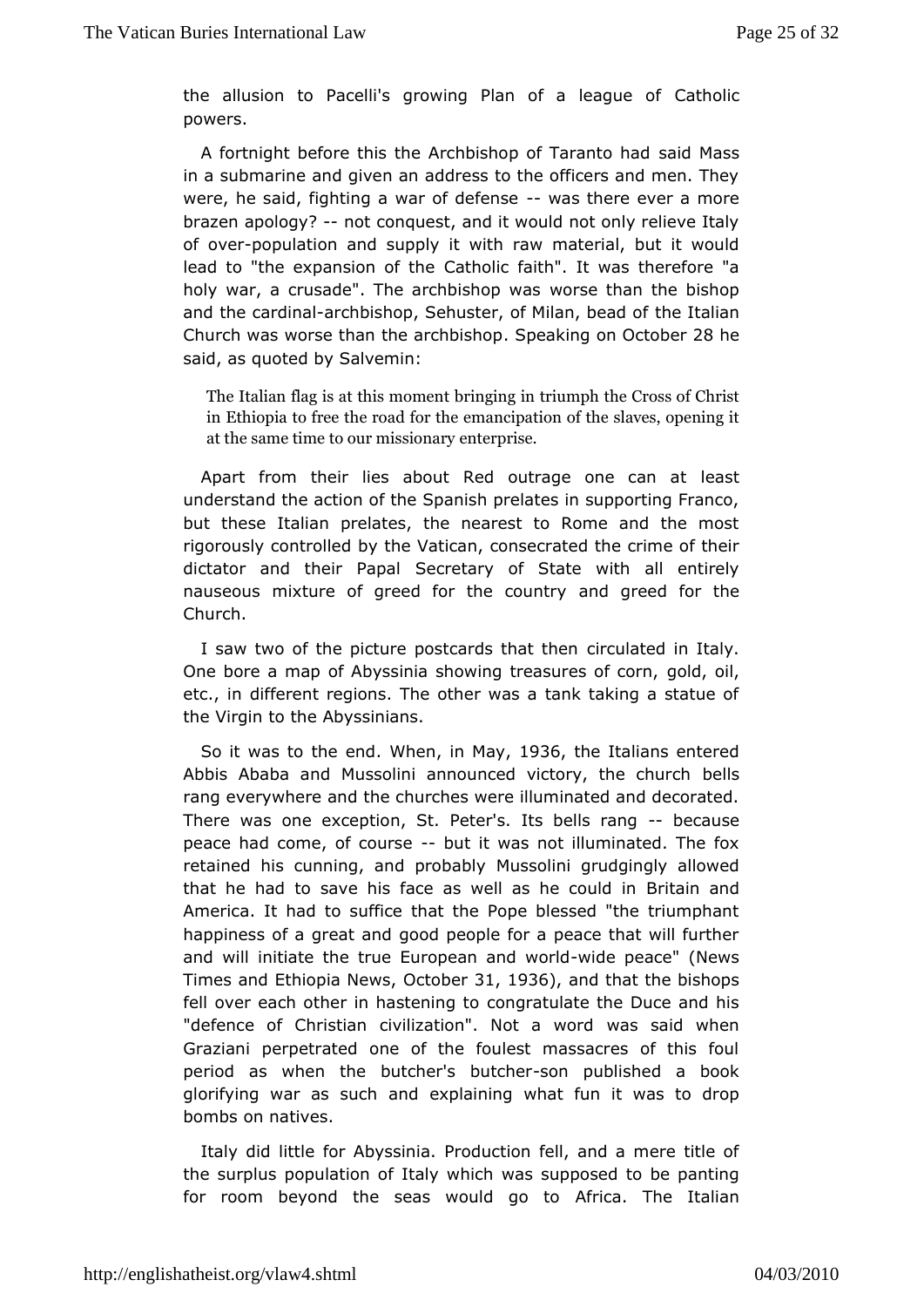the allusion to Pacelli's growing Plan of a tholle aque of powers.

A fortnight before this the Archbishop said all anstso had in a submarine and given an address to the officers and men. were, he said, fighting a war-of wad seften hears ever a more braze apology?not conquest, and it would not only relieve Italy of over opulatiand supply it with raw material, but it would lead to "the expansionC ontholhiec faith". It was therefore "a holy war, a crusade". The archwosts opthwans the bishop and the cardan ah bishop, Sehuster, of Milahme blead da of Church was worse than the a Sophebaiks imagpon October said, as quoted by Salvemin:

The Italian flag is at thing moment and the Cross of Christ in Ethiopia to free thee moaandcifpoartitohne of the slaves, opening i at the same time to ouern theirs psnics reary

Apart from their lies about Red outrage least can at understand the action of the Spanish prelates in supporting F butthese Italian prelates, the nearest to Rome and the mo rigorously contboylit the Vatican, consecrated the crime of their dictator and their SPeagoraeltary of State with all entirely nauseous mixture of greed for the dcguetaby for the Church.

I saw two of the picture postcards in that televing litely. One bore a map of Abyssinia showing treasures sib, fcorn, etc., in different regions. The other was a tank taking a sta the Virgin to the Abyssinians.

So it was to the Wehnedhin May 1936 the Italians entered Abbis Ababa and Mussolini announced victorewisthe church rang everywhere and the churches were illuminated and decor There was ne exception, St. Peter's. Its--bbeek csa ursaenig peace had come, of coburts et was not illuminated. The fox retained his cunning, and Mpusbaldihyi grudgingly allowed that he had to save his face as well absrituating counted in America. It had to suffice that the Pope blessed "the triump happiness of a great and good people for a peace that will f and will triate the true European -wind ewpoerdanche" (News Times and Ethiopia Onteowhers, 1936, and that the bishops fell over each other in ha**s** benry imag tutloate the Duce and his "defence of Christian civilization". whast saaid wow blen Graziani perpetrated one of the foulest massacres of this period as when the butcher'-sombupourbedished a book glorifying war as a such and and and the stundard and and and the stundard stundard and the stundard stundard s bombs on natives.

Italy did liftdie Abyssinia. Production fell, and a mere title of the surplus populatiahy ow hich was supposed to be panting for room beyond the seas woulledfrigenal to a Italian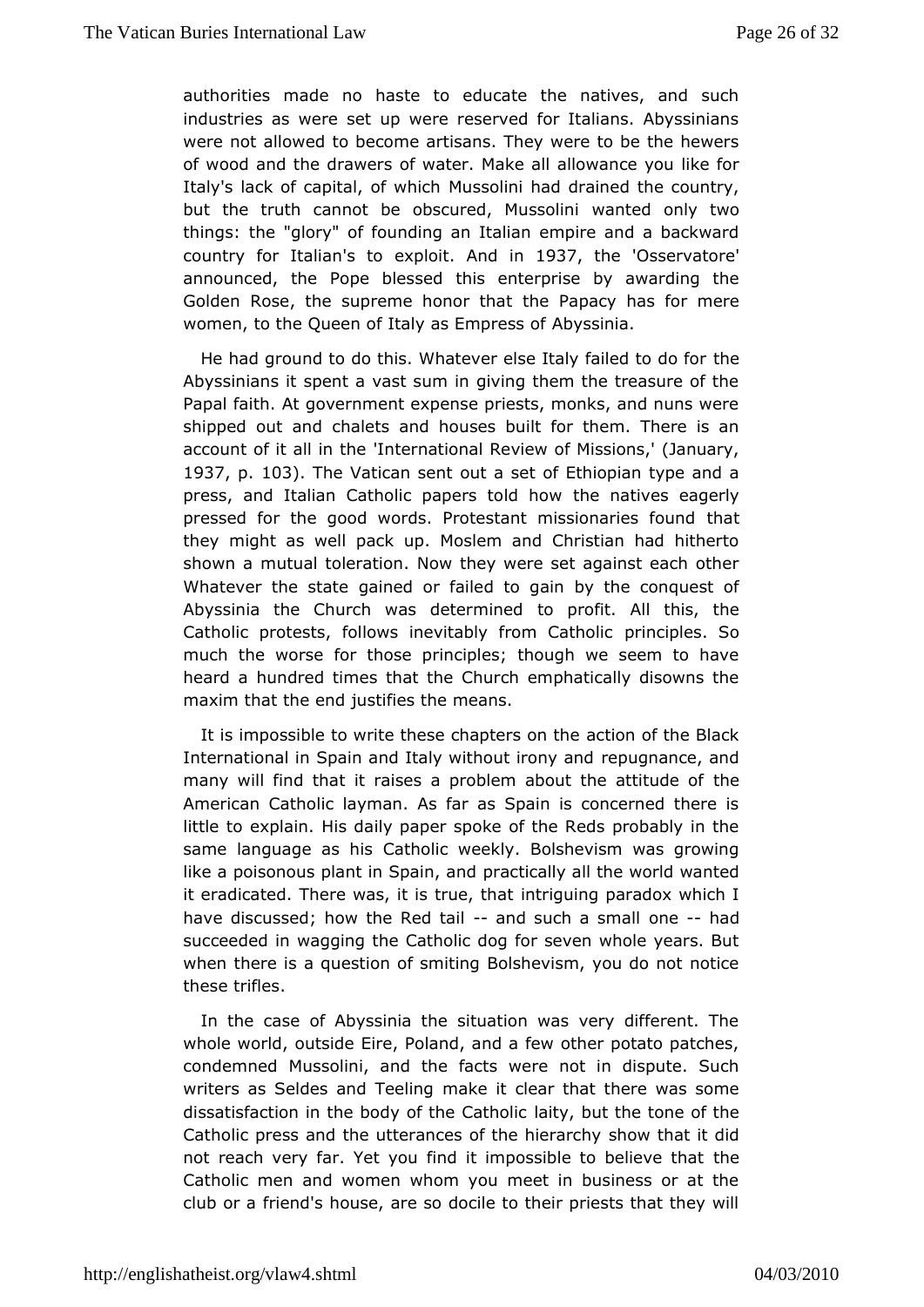authorities made no haste to educate the natives, and s industries as were set up were reserved for Italians. Abyssi were noatlowed to become artisans. They were to be the hewe of wood and the droafwwerster. Make all allowance you like for Italy's lack of capital, Mouiswolinh had drained the country, but the truth cannot be obscured wall tuesds oot imliy two things: the "glory" of founding an Italian empire and a back country for Italitan exploAnd in 937 the 'Osservat'ore announced, Phoepe blessed this enterprise by awarding the Golden Rose, the supreme htchneorP alpatcy has for mere women, to the Queen of Italy as Abysinisms of

He had ground to do this. Whatever else Italtheailed to do for Abyssinians it spent a vast sum in giving them the treasure  $\epsilon$ Papaflaith. At government expense priests, monks, and nuns w shipped out amalets and houses built for them. There is an account of it all'International Review of Missions,' (January, 1937p. 103. The Vatican senta set of Ethiopian type and a press, and Italian Catholic pape**rs** etom and the sweagerly pressed for the good words. Protestant mistshinotharies found they might as well pack up. Moslem and Christian had hith shown mautual toleration. Now they were set against each oth Whatever the sotat beed or failed to gain by the conquest of Abyssinia the Church was determinionfeit. All this, the Catholic protests, follows inevitably pirinmoipClashoSio much the worse for those principles; though we seem to h hearda hundred times that the Church emphatically disowns t maxim that the est dies the means.

It is impossible to write these chapteds on the Black International in Spain and Italy withroeuptu gromany can dand many will find that it raises a problem abouth the attitude o American Catholic layman. As far as Spain is concerned the little explain. His daily paper spoke of the Reds probably in same language a Cahhsolic weekly. Bolshevism was growing like a poisonous plant in Spactically all the world wanted it eradicated. There was, it is nthringen, into haptaradox which I have discussed; how the-Raendd tailch a smnadl-had succeeded in wagging the Catholic dog for seven whole years whenthere is a question of smiting Bolshevism, you do not no thesetrifles.

In the case of Abyssinia the situation was very different. whole world, outside Eire, Poland, and a few other potato pa condemnedMussolini, and the facts were not in dispute. Such writers as Seldes and mTaekeeling clear that there was some dissatisfaction in the body of that interpolation the cone of the Catholic press and the utterances of show hime and high did not reach very far. Yet you find it impossiblteheto believe that Catholic men and women whom you meet in business or at club orfaiend's house, are so docile to their priests that they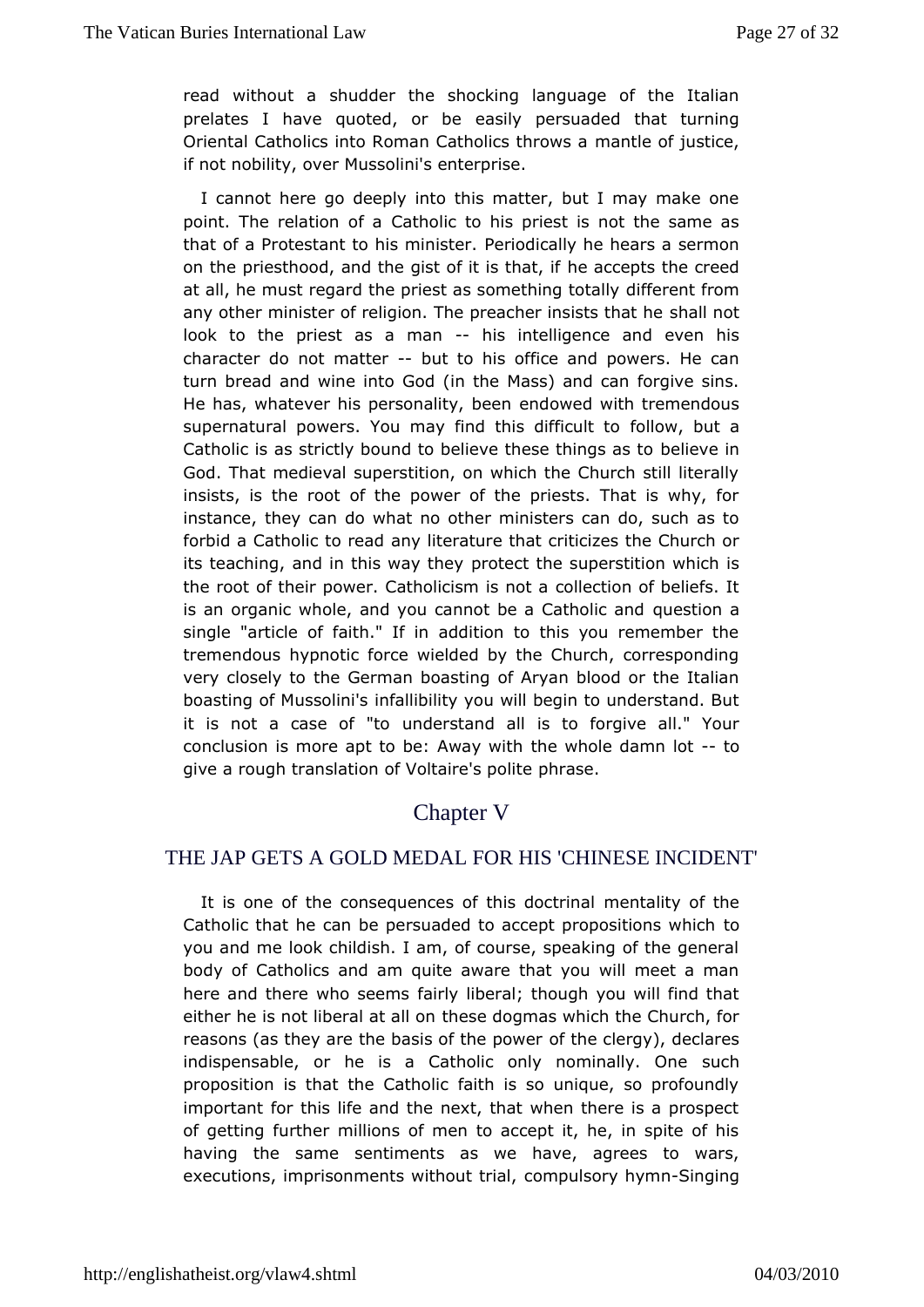read withoutshaudder the shocking language of the Italian prelates I have quoted, easil pepersuaded that turning Oriental Catholics into Roman Cathonlandslehoows aaice, if not nobility, over Mussolini's enterprise.

I cannot here go deeply into this matter, but I may make one point. The relatio Cadhodic to his priest is not the same as that of a Protestant to his Penrimoids it ceally he hears a sermon on the priesthood, and the gist of eitaics that, the creed at all, he must regard the priest as sommiefteniengt tortoanhly any other minister of religion. The preachehahls is that he look to the priest as a hmisanintelligence and even his characte o not mattebut to his office and powers. He can turn bread and win@oicht(cin the Mass) and can forgive sins. He has, whatever his personahid ww beewith tremendous supernatural powers. You may find thfiosild wifidowlt ao Catholic is as strictly bound to believe those sines as to God. That medieval superstition, on which the Church still li insists, is the root of the power of the priests. That is wh instancehey can do what no other ministers can do, such as forbid a Catholic tany elaterature that criticizes the Church or its teaching, and in this pway ethet whe superstition which is the root of their power. Catholiccism heistion to a beliefs. It is an organic whole, and you cannot be queCsatboliac and single "article of faith." If in addition to this you remembe tremendous hypnotic force wielded by the Church, correspon very closely hte German boasting of Aryan blood or the Italian boasting of Mussion ifian iility you will begin to understand. But it is not a case  $\omega$  fn d" deostand all is to forgive all." Your conclusion is more apt to be: the waw h wlith hdamn-tot give a rough translation of Volphin asse.polite

# Chapter V

# THE JAP GETS A GOLD MEDAL FOR HISCHINESE INCIDENT'

It is one of the consequences of the estid bid yrigial the Catholic that he can be persuaded to accept proopositions wh you and me look childish. I am, of course, speaking of the ge body  $of$  atholics and am quite aware that you will meet a ma here and there who fsaeielny sliberal; though you will find that either he is not liberalthed sælldogmas which the Church, for reasons (as they are the basis of the  $p$  bewregy), declares indispensable, or he is a Catholic only msounthinally. One proposition is that the Catholic faith is so unique, so profo important for this life and the next, that when there is a pro of getting rther millions of men to accept it, he, in spite of having the samentiments as we have, agrees to wars, executions, imprisonments without ut sically h-Simm ging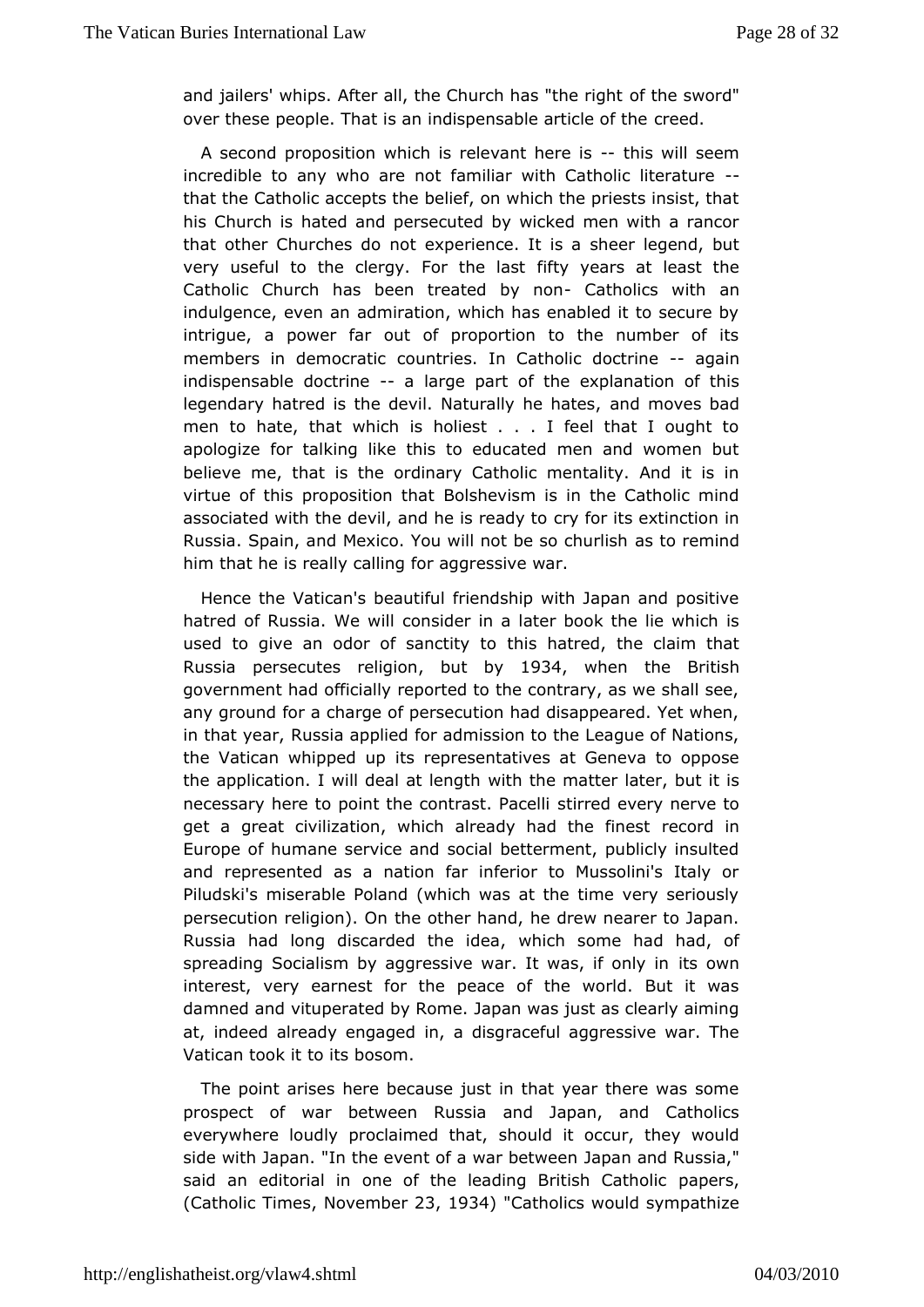and jailers' whips. After all, the Churcohf has "styhoer di"ght over these people. That is an indispensable earticle of the

A second proposition which is relevant is weine seem incredible to any who are not familiar with C-atholic literature that theatholic accepts the belief, on which the priests insist, his Church asted and persecuted by wicked men with a rancor that other Churches edxopencience. It is a sheer legend, but very useful to the clergy. Forrift wheveass at least the Catholic Church has been treated at the lincosn wath containts at  $\sim$ indulgence, even an admiration, which has enabled it to secu intrigue, power far out of proportion to the number of its members in democcroauticatries. In Catholic doctgaine indispensable doctain earge port the explanation of this legendary hatred is the devil. Natur**ahl**y **me** vheastebsad men to hate, that which is holiest . . . I feel that I ough apologize for talking like this to educated men and women believe me, ibathe ordinary Catholic mentality. And it is in virtue of this propositBoon's hieatism is in the Catholic mind associated with the devil, and hery sfore aids extinction in Russia. Spain, and Mexico. You will not sb to sne monimualish him that he is really calling for aggressive war.

Hence the atican's beautiful friendship with Japan and positi hatred of Russia. Wen wilder in a later book the lie which is used to give an odor of sahcsithy at roed, the claim that Russia persecutes , reblugtiolby 1934 when theBritish government had officially reported to the contrary, as we sha anyground for a charge of persecution had disappeared. Yet w in that ye aussia applied for admission to the League of Nation the Vatican whippets uppresentatives at Geneva to oppose the application. I will dealwith Ith megth atter later, but it is necessary here to point the contsitanted Pavely nerve to get a great civilization, which already meacobrucheinfinest Europe of humane service and social betterment, publicly ins andrepresented as a nation far inferior to Mussolini's Italy Piludskmsserable Poland (which was at the time very serious persecution religion be. Other hand, he drew nearer to Japan. Russia had long discarded whechdes ame had had, of spreading Socialism by aggressive war. Ititwas whif only in interest, very earnest for the peace of the world. But it damned and uperated by Rome. Japan was just as clearly aiming at, indeed already engagedisgraceful aggressive war. The Vatican took it to its bosom.

Thepoint arises here because just in that year there was so prospect of whatween Russia and Japan, and Catholics everywhere loudly proclaims that indity occur, they would side with Japan. "In the event of aJwapanbeatnwde Renussia," said an editorial in one of the leading **Baides's**, Catholic  $(Catholic$  Tim less ember 3, 1934 Catholics would sympathize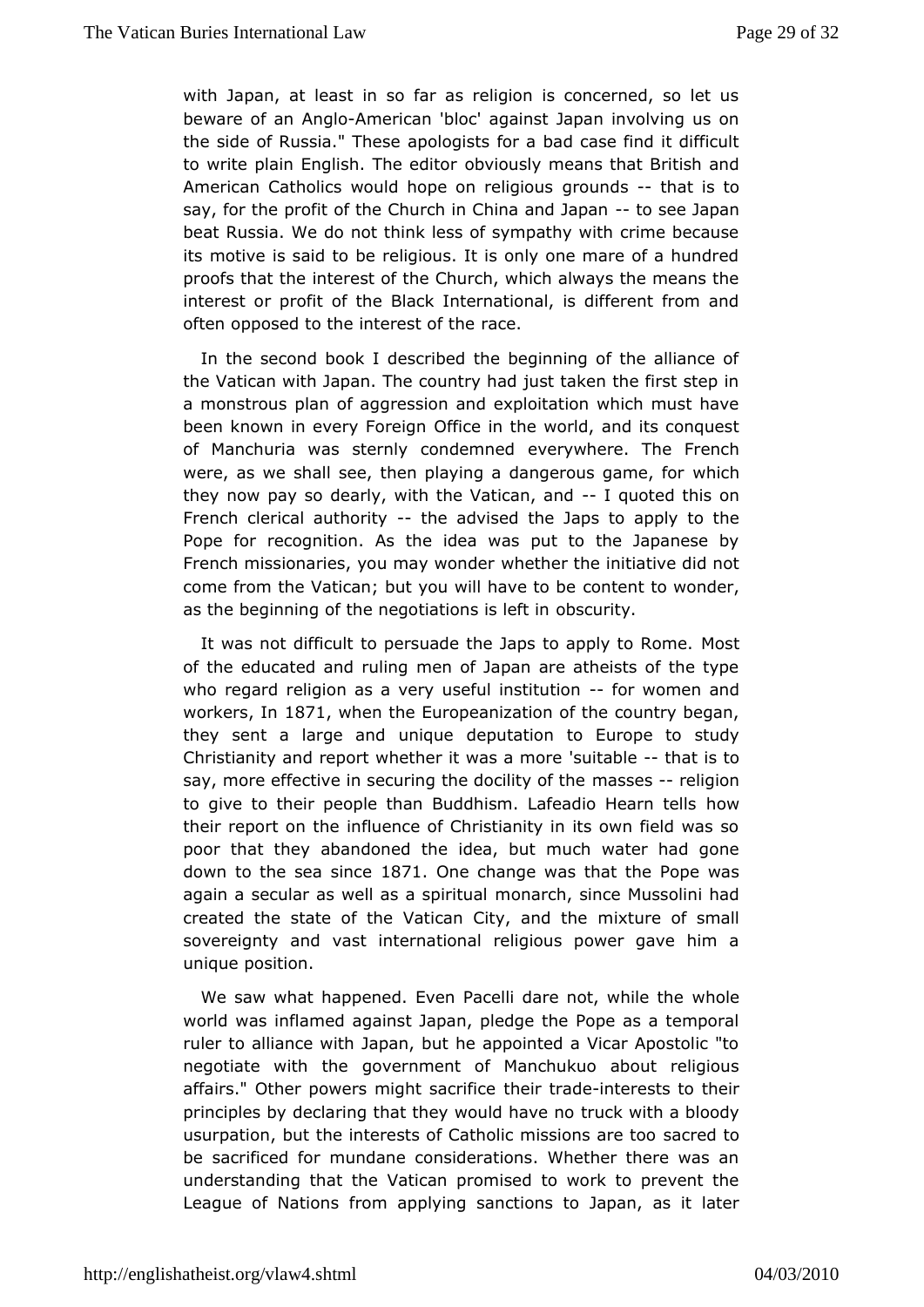withJapan, at least in so far as religion is concerned, so  $I$ beware of Aamgl-American 'bloc' against Japan involving us on the side of Russia. " apTo Hessies for a bad case find it difficult to write plain English. The head is by means that British and American Catholics would hope gnoune bishing it is to say, for the profit of the Church in Chinoas a a dJalapan beat Russia. We do not think less of sympathy with crime bed itsmotive is said to be religious. It is only one mare of a hur proofs that interest of the Church, which always the means the interest or profit **B**fackelnternational, is different from and often opposed to the interreascte of the

In the second book I described the beginning of the allian theVatican with Japan. The country had just taken the first st a monstropulsan of aggression and exploitation which must hav been known in every **Oofiecien** in the world, and its conquest of Manchuria was sternly coenvoberny whelere. The French were, as we shall see, then playing a dangwho us game, for they now pay so dearly, with the V-altigranted nthis on Frenchlerical authorithy advised the Japs to apply to the Pope for recognAtsothe idea was put to the Japanese by French missionaries, you may he whether initiative did not come from the Vatican; but you wild on the beam der, as the beginning of the negotiations  $x$  usity ft in

It was not difficult to persuade the Japs to Mapply to Rome. of the educated and ruling men of Japan are atheists of the who regarelligion as a very useful insolituxioomen and workersh 1871 whenthe Europeanization of the country began, they sent a large and duenpique tion to Europe to study Christianity and report whether it'swuatsabalenhoate is to say, more effective in securing the molassile by religion to give to their people than Buddhism. Lafeband wo Hearn tells their report on the influence of Christianity in its own field poorthat they abandoned the idea, but much water had gon down to the sea  $\frac{188}{70}$ de change was that the Pope was again a secular as well as mao a paincintuas ince Mussolini had created the state of the Vatican Cmitix, tuaned of hemall sovereignty and vast international religious power gave hi unique position.

We saw what happened. Even Pacelli darewholte while the world was inflamed against Japan, pledge the Pope as a tem ruler taolliance with Japan, but he appointed a Vicar Apostolic negotiate with gtohveernment of Manchukuo about religious affairs." Other powers mightthearcitinationet erests to their principles by declaring that they would the made or on bloody usurpation, but the interests of Catholic massed ntsoare too be sacrificed for mundane considerations. Whether there wa understanding that the Vatican promised to work to prevent League of Natfiron as applying sanctions to Japan, as it later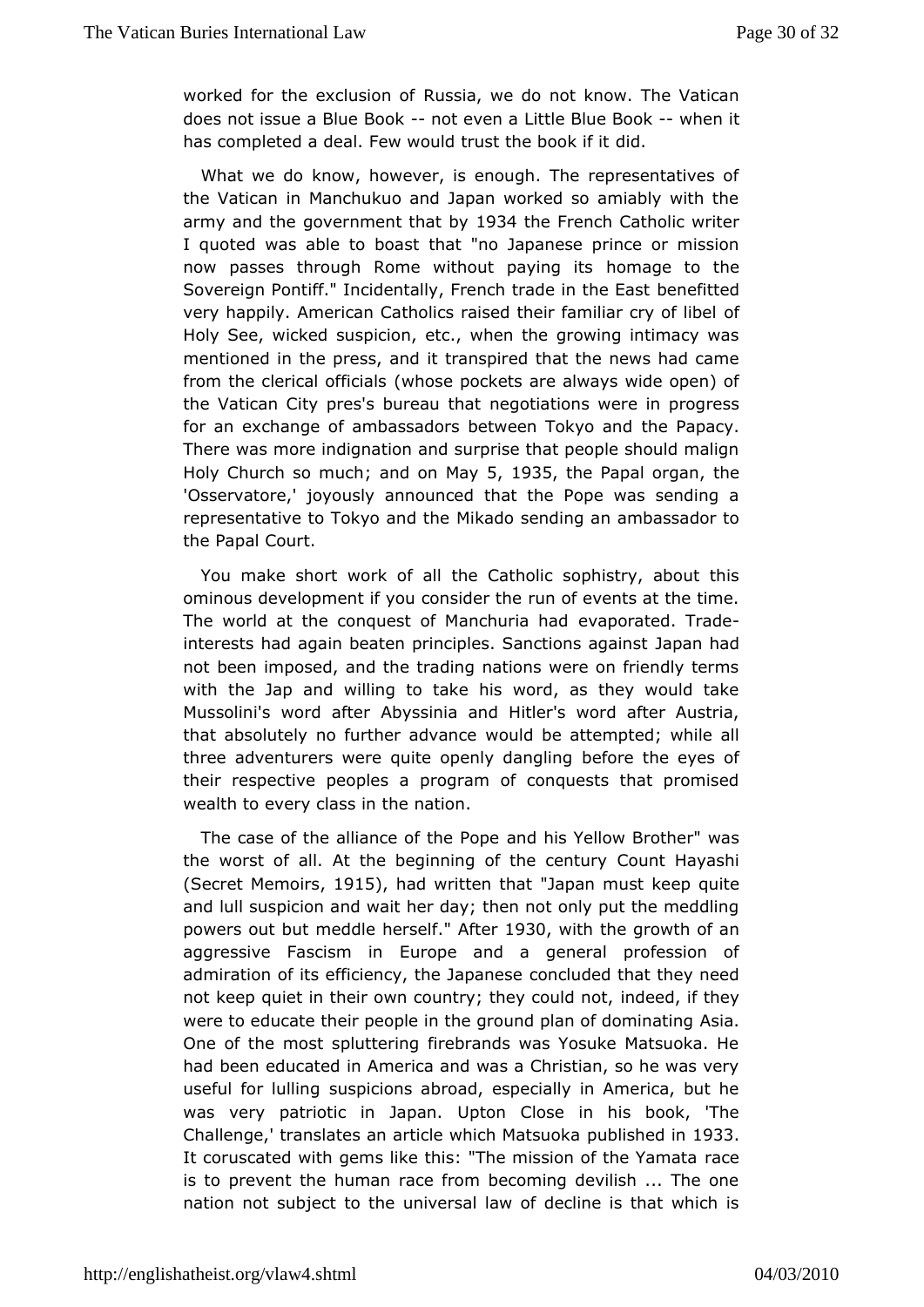worked for the exclu**Riosnsia** f we do not know. The Vatican does not issue a Bluen Bboek en Lattle Blue Bowken it has completed a deal. Few would trusd the book if it

What we do know, however, is enough. The representatives theVatican in Manchukuo and Japan worked so amiably with army and the ernment that 9b 4the French Catholic writer I quoted was able to that a stoo Japanese prince or mission now passes through Rome without homany and the Sovereign Pontiff." Incidentally, French trandefitted the East very happily. American Catholics raised their foafmiliar cry of Holy See, wicked suspicion, etc., when the growing intimacy mentioned the press, and it transpired that the news had cam from the clerical of which are sets are always wide open) of the Vatican City pres's burreau titahtaions were in progress for an exchange of ambassadors betwethe TRockpy actand There was more indignation and surprise that people should m Holy Church so; mandhon May 1935 the Papal or glaen 'Osservatojey' ously announced that the Pope was sending a representative to Tokyo Maked to hes ending an ambassador to the Papal Court.

You make short woarloot bis Catholic sophistry, about this ominous development if you consider the ats at the time. The world at the conquest of Maneovalpoinsatheadd Frade interests had again beaten principles. Saaptimonhsa against not been imposed, and the trading nations were on friendly t withthe Jap and willing to take his word, as they would ta Mussolini's word Aabyt esinia and Hitler's word after Austria, that absolutely no further wwould a home attempted; while all three adventurers were quite openbley foot an ongely es of their respective peoples a program of conquests that prom wealth to every class in the nation.

The case of the alliance o antothe hipsopollow Brother" was the worst of all. At the beginning oC duet cleay asyhi (Secret Mem, oli 0sl 5, had written that an must keep quite and lull suspicion and wait her day; then not only put the med powers obutt meddle herself and a 30 with the growth of an aggressive Fascis Enurope and a general profession of admiration of its efficiency, the enunded and they need not keep quiet in their own country; thredyeedulid thooty were to educate their people in the ground plasmia and dominating One of the most spluttering firebrands was Yosuke Matsuoka had beenducated in America and was a Christian, so he was  $v_1$ useful for lushing icions abroad, especially in America, but he was very patriotic in Ulpatosann. Close in his book, 'The Challenge,' translates an article which in the dimensional challenges in  $\mathcal{L}$ It coruscated with gems like this: "The missipancof the Yamata is to prevent the human race from becoming devilish ... The nation nsubject to the universal law of decline is that which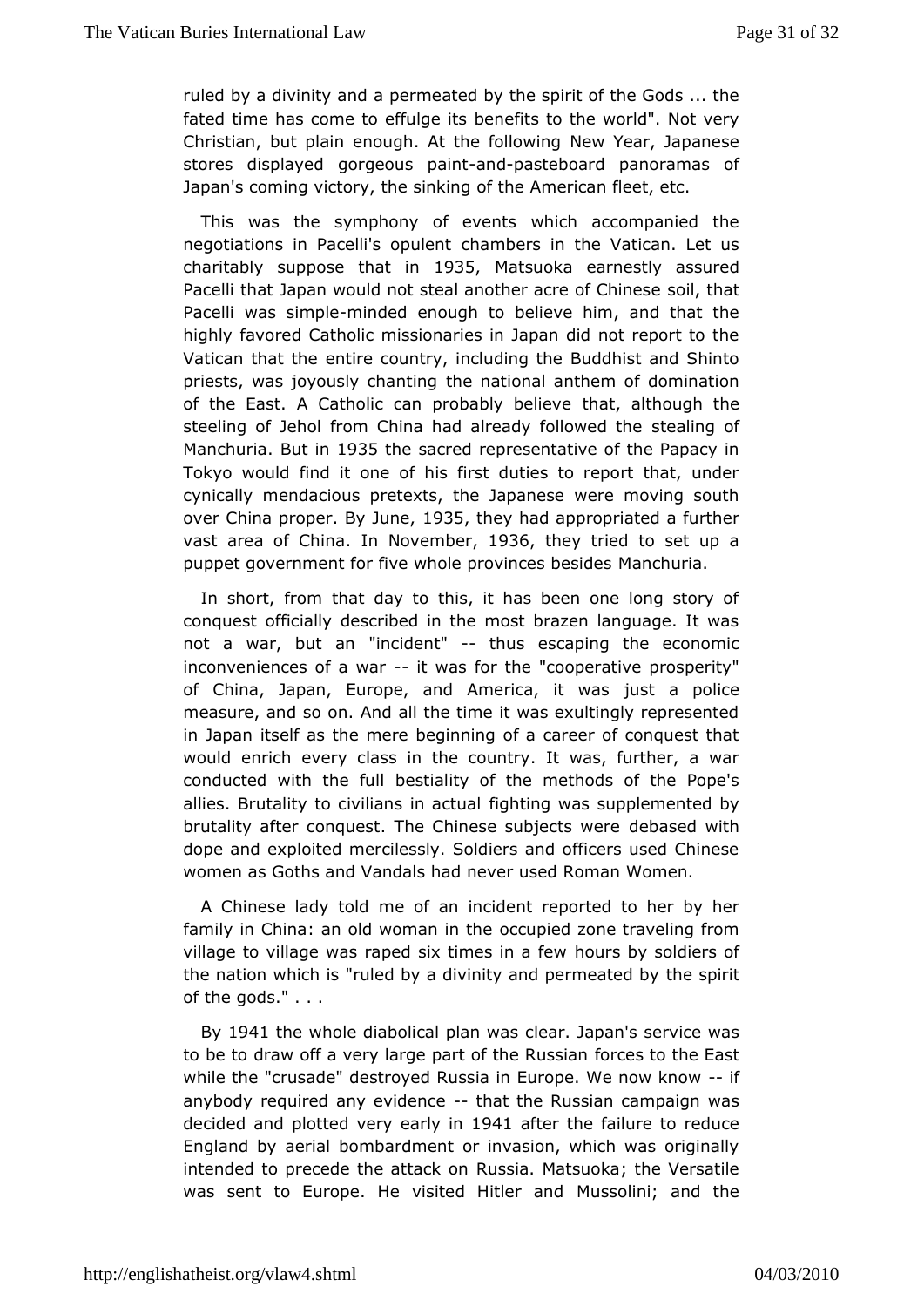ruled by a divinity peermote ated by the spirit of the Gods ... the fated time has come to ebfeund peits to the world". Not very Christian, but plain enough. At the wfoll boaw in gapanese stores displayed gorgeous do casine board panoramas of Japan's coming victory, the sinking of the American fleet, etc.

This watshe symphony of events which accompanied the negotiations in Pacelli's hamblent in the Vatican. Let us charitably suppose thas 5 imatsuokaarnestly assured Pacelli that Japan would not steal anothers caid rethcaft Chinese Pacelli was simmipoldeed enough to believe him, and that the highlfavored Catholic missionaries in Japan did not report to Vatican that ethtere country, including the Buddhist and Shinto priests, was joyously thenntional anthem of domination of the East. A Catholic can probable that the the  $\frac{1}{k}$ steeling of Jehol from China had alreadsytefadling own of the ManchuriBaut in 935the sacred representative of the Papacy in Tokyo would find it one of his first duties to report that, a cynical mendacious pretexts, the Japanese were moving sout over China proper. By 935 they had appropriated a further vast area of Chmin alovember 936 they tried to set up a puppet government for five whole pro Maces ubressides

In short, from that day to this, it has been one long stor conquest officially described in the most brazen language. I not a war, baunt "incident" thus escaping the economic inconveniences of-aitwawastor the "cooperative prosperity" of China, Japan, Europe, and Amerjiusat, at pwoalisce measure, and so on. And all the time it was exultingly repres in Japan itself as the mere beginning of a career of conques would enriechery class in the country. It was, further, a wa conducted with theestuilality of the methods of the Pope's allies. Brutality to civilian fighting tweeds supplemented by brutality after conquest. The Chinese dseubbajseneds wwitehre dope and exploited mercilessly. Soldiers and officers used C women as Goths and Vandals had never used Roman Women.

A Chinese ladymteoldf an incident reported to her by her family in China: an old woman cuipiel dezone traveling from village to village was raped six timoeus simby a sfoelwdiers of the nation which is "ruled by a divinity ant depermetated by of the gods." . . .

By1941 the whole diabolical plaarwa span's service was to be to draw off a very large part of ortchees Rroustshiean East while the "crusade" destroyed Russia in Europeff We now knov anybody required any e-vitcheartcthe Russian campaign was decided applootted very earll 94 in after the failure to reduce England by aboimabardment or invasion, which was originally intended to precede the aRtuisska on Matsuoka; the Versatile was sent to Europe. He visited M-uist beachinain dand the